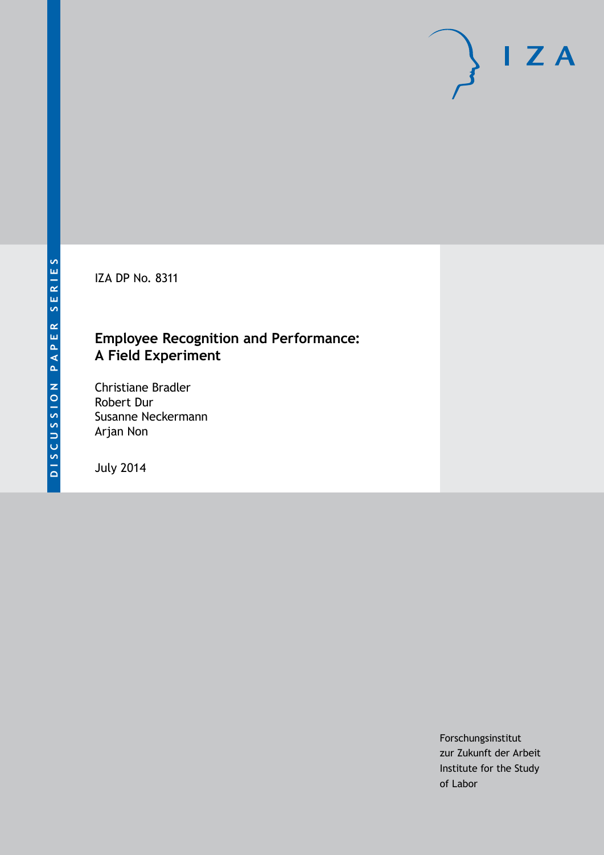IZA DP No. 8311

### **Employee Recognition and Performance: A Field Experiment**

Christiane Bradler Robert Dur Susanne Neckermann Arjan Non

July 2014

Forschungsinstitut zur Zukunft der Arbeit Institute for the Study of Labor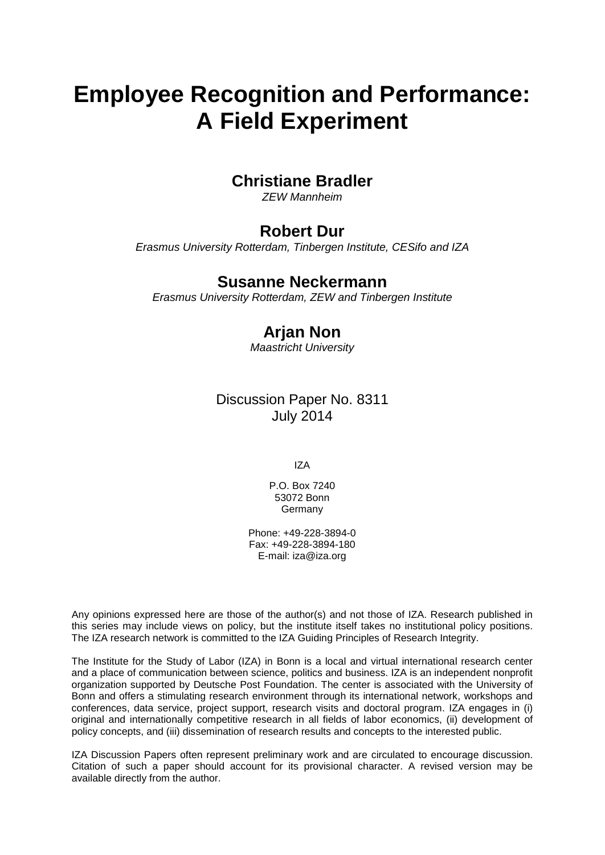# **Employee Recognition and Performance: A Field Experiment**

### **Christiane Bradler**

*ZEW Mannheim*

### **Robert Dur**

*Erasmus University Rotterdam, Tinbergen Institute, CESifo and IZA*

#### **Susanne Neckermann**

*Erasmus University Rotterdam, ZEW and Tinbergen Institute*

### **Arjan Non**

*Maastricht University*

### Discussion Paper No. 8311 July 2014

IZA

P.O. Box 7240 53072 Bonn Germany

Phone: +49-228-3894-0 Fax: +49-228-3894-180 E-mail: [iza@iza.org](mailto:iza@iza.org)

Any opinions expressed here are those of the author(s) and not those of IZA. Research published in this series may include views on policy, but the institute itself takes no institutional policy positions. The IZA research network is committed to the IZA Guiding Principles of Research Integrity.

The Institute for the Study of Labor (IZA) in Bonn is a local and virtual international research center and a place of communication between science, politics and business. IZA is an independent nonprofit organization supported by Deutsche Post Foundation. The center is associated with the University of Bonn and offers a stimulating research environment through its international network, workshops and conferences, data service, project support, research visits and doctoral program. IZA engages in (i) original and internationally competitive research in all fields of labor economics, (ii) development of policy concepts, and (iii) dissemination of research results and concepts to the interested public.

<span id="page-1-0"></span>IZA Discussion Papers often represent preliminary work and are circulated to encourage discussion. Citation of such a paper should account for its provisional character. A revised version may be available directly from the author.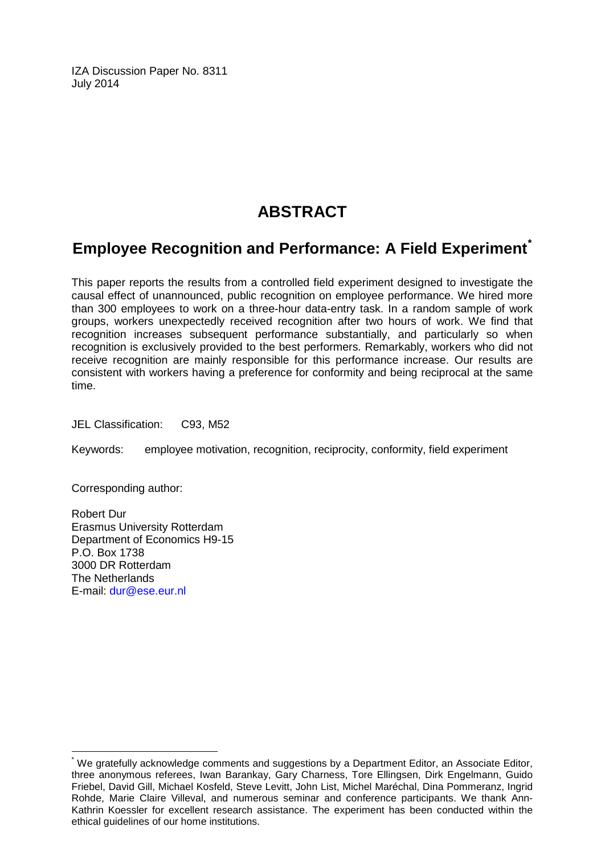IZA Discussion Paper No. 8311 July 2014

### **ABSTRACT**

### **Employee Recognition and Performance: A Field Experiment[\\*](#page-1-0)**

This paper reports the results from a controlled field experiment designed to investigate the causal effect of unannounced, public recognition on employee performance. We hired more than 300 employees to work on a three-hour data-entry task. In a random sample of work groups, workers unexpectedly received recognition after two hours of work. We find that recognition increases subsequent performance substantially, and particularly so when recognition is exclusively provided to the best performers. Remarkably, workers who did not receive recognition are mainly responsible for this performance increase. Our results are consistent with workers having a preference for conformity and being reciprocal at the same time.

JEL Classification: C93, M52

Keywords: employee motivation, recognition, reciprocity, conformity, field experiment

Corresponding author:

Robert Dur Erasmus University Rotterdam Department of Economics H9-15 P.O. Box 1738 3000 DR Rotterdam The Netherlands E-mail: [dur@ese.eur.nl](mailto:dur@ese.eur.nl)

\* We gratefully acknowledge comments and suggestions by a Department Editor, an Associate Editor, three anonymous referees, Iwan Barankay, Gary Charness, Tore Ellingsen, Dirk Engelmann, Guido Friebel, David Gill, Michael Kosfeld, Steve Levitt, John List, Michel Maréchal, Dina Pommeranz, Ingrid Rohde, Marie Claire Villeval, and numerous seminar and conference participants. We thank Ann-Kathrin Koessler for excellent research assistance. The experiment has been conducted within the ethical guidelines of our home institutions.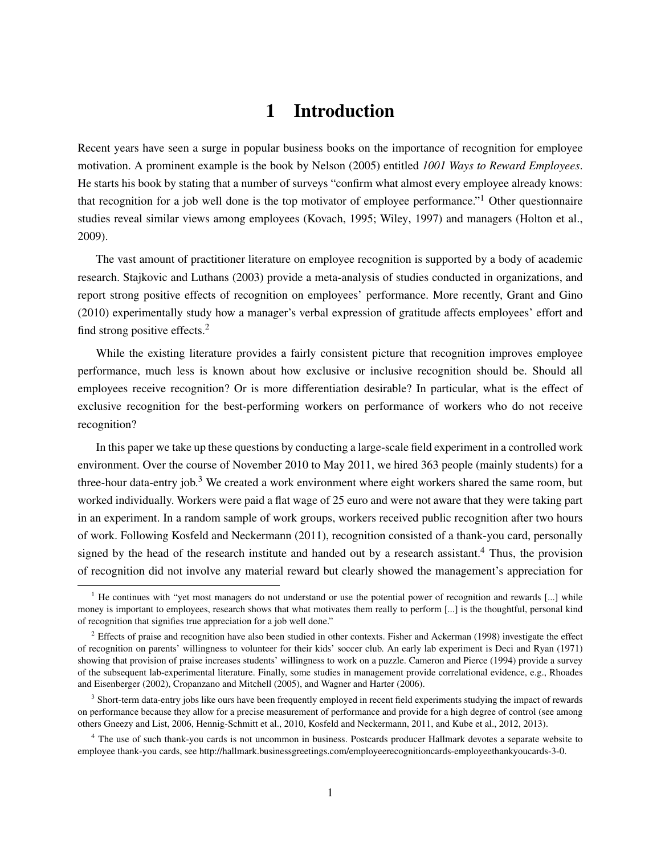### 1 Introduction

Recent years have seen a surge in popular business books on the importance of recognition for employee motivation. A prominent example is the book by Nelson (2005) entitled *1001 Ways to Reward Employees*. He starts his book by stating that a number of surveys "confirm what almost every employee already knows: that recognition for a job well done is the top motivator of employee performance."<sup>1</sup> Other questionnaire studies reveal similar views among employees (Kovach, 1995; Wiley, 1997) and managers (Holton et al., 2009).

The vast amount of practitioner literature on employee recognition is supported by a body of academic research. Stajkovic and Luthans (2003) provide a meta-analysis of studies conducted in organizations, and report strong positive effects of recognition on employees' performance. More recently, Grant and Gino (2010) experimentally study how a manager's verbal expression of gratitude affects employees' effort and find strong positive effects.<sup>2</sup>

While the existing literature provides a fairly consistent picture that recognition improves employee performance, much less is known about how exclusive or inclusive recognition should be. Should all employees receive recognition? Or is more differentiation desirable? In particular, what is the effect of exclusive recognition for the best-performing workers on performance of workers who do not receive recognition?

In this paper we take up these questions by conducting a large-scale field experiment in a controlled work environment. Over the course of November 2010 to May 2011, we hired 363 people (mainly students) for a three-hour data-entry job.<sup>3</sup> We created a work environment where eight workers shared the same room, but worked individually. Workers were paid a flat wage of 25 euro and were not aware that they were taking part in an experiment. In a random sample of work groups, workers received public recognition after two hours of work. Following Kosfeld and Neckermann (2011), recognition consisted of a thank-you card, personally signed by the head of the research institute and handed out by a research assistant.<sup>4</sup> Thus, the provision of recognition did not involve any material reward but clearly showed the management's appreciation for

<sup>&</sup>lt;sup>1</sup> He continues with "yet most managers do not understand or use the potential power of recognition and rewards  $\left[\ldots\right]$  while money is important to employees, research shows that what motivates them really to perform [...] is the thoughtful, personal kind of recognition that signifies true appreciation for a job well done."

<sup>&</sup>lt;sup>2</sup> Effects of praise and recognition have also been studied in other contexts. Fisher and Ackerman (1998) investigate the effect of recognition on parents' willingness to volunteer for their kids' soccer club. An early lab experiment is Deci and Ryan (1971) showing that provision of praise increases students' willingness to work on a puzzle. Cameron and Pierce (1994) provide a survey of the subsequent lab-experimental literature. Finally, some studies in management provide correlational evidence, e.g., Rhoades and Eisenberger (2002), Cropanzano and Mitchell (2005), and Wagner and Harter (2006).

<sup>&</sup>lt;sup>3</sup> Short-term data-entry jobs like ours have been frequently employed in recent field experiments studying the impact of rewards on performance because they allow for a precise measurement of performance and provide for a high degree of control (see among others Gneezy and List, 2006, Hennig-Schmitt et al., 2010, Kosfeld and Neckermann, 2011, and Kube et al., 2012, 2013).

<sup>&</sup>lt;sup>4</sup> The use of such thank-you cards is not uncommon in business. Postcards producer Hallmark devotes a separate website to employee thank-you cards, see http://hallmark.businessgreetings.com/employeerecognitioncards-employeethankyoucards-3-0.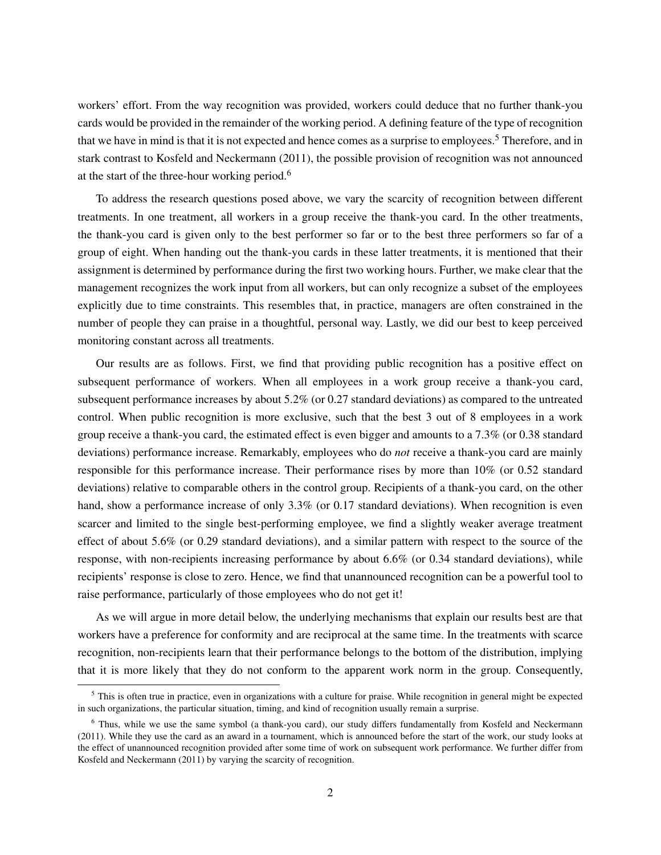workers' effort. From the way recognition was provided, workers could deduce that no further thank-you cards would be provided in the remainder of the working period. A defining feature of the type of recognition that we have in mind is that it is not expected and hence comes as a surprise to employees.<sup>5</sup> Therefore, and in stark contrast to Kosfeld and Neckermann (2011), the possible provision of recognition was not announced at the start of the three-hour working period.<sup>6</sup>

To address the research questions posed above, we vary the scarcity of recognition between different treatments. In one treatment, all workers in a group receive the thank-you card. In the other treatments, the thank-you card is given only to the best performer so far or to the best three performers so far of a group of eight. When handing out the thank-you cards in these latter treatments, it is mentioned that their assignment is determined by performance during the first two working hours. Further, we make clear that the management recognizes the work input from all workers, but can only recognize a subset of the employees explicitly due to time constraints. This resembles that, in practice, managers are often constrained in the number of people they can praise in a thoughtful, personal way. Lastly, we did our best to keep perceived monitoring constant across all treatments.

Our results are as follows. First, we find that providing public recognition has a positive effect on subsequent performance of workers. When all employees in a work group receive a thank-you card, subsequent performance increases by about 5.2% (or 0.27 standard deviations) as compared to the untreated control. When public recognition is more exclusive, such that the best 3 out of 8 employees in a work group receive a thank-you card, the estimated effect is even bigger and amounts to a 7.3% (or 0.38 standard deviations) performance increase. Remarkably, employees who do *not* receive a thank-you card are mainly responsible for this performance increase. Their performance rises by more than 10% (or 0.52 standard deviations) relative to comparable others in the control group. Recipients of a thank-you card, on the other hand, show a performance increase of only 3.3% (or 0.17 standard deviations). When recognition is even scarcer and limited to the single best-performing employee, we find a slightly weaker average treatment effect of about 5.6% (or 0.29 standard deviations), and a similar pattern with respect to the source of the response, with non-recipients increasing performance by about 6.6% (or 0.34 standard deviations), while recipients' response is close to zero. Hence, we find that unannounced recognition can be a powerful tool to raise performance, particularly of those employees who do not get it!

As we will argue in more detail below, the underlying mechanisms that explain our results best are that workers have a preference for conformity and are reciprocal at the same time. In the treatments with scarce recognition, non-recipients learn that their performance belongs to the bottom of the distribution, implying that it is more likely that they do not conform to the apparent work norm in the group. Consequently,

<sup>&</sup>lt;sup>5</sup> This is often true in practice, even in organizations with a culture for praise. While recognition in general might be expected in such organizations, the particular situation, timing, and kind of recognition usually remain a surprise.

 $6$  Thus, while we use the same symbol (a thank-you card), our study differs fundamentally from Kosfeld and Neckermann (2011). While they use the card as an award in a tournament, which is announced before the start of the work, our study looks at the effect of unannounced recognition provided after some time of work on subsequent work performance. We further differ from Kosfeld and Neckermann (2011) by varying the scarcity of recognition.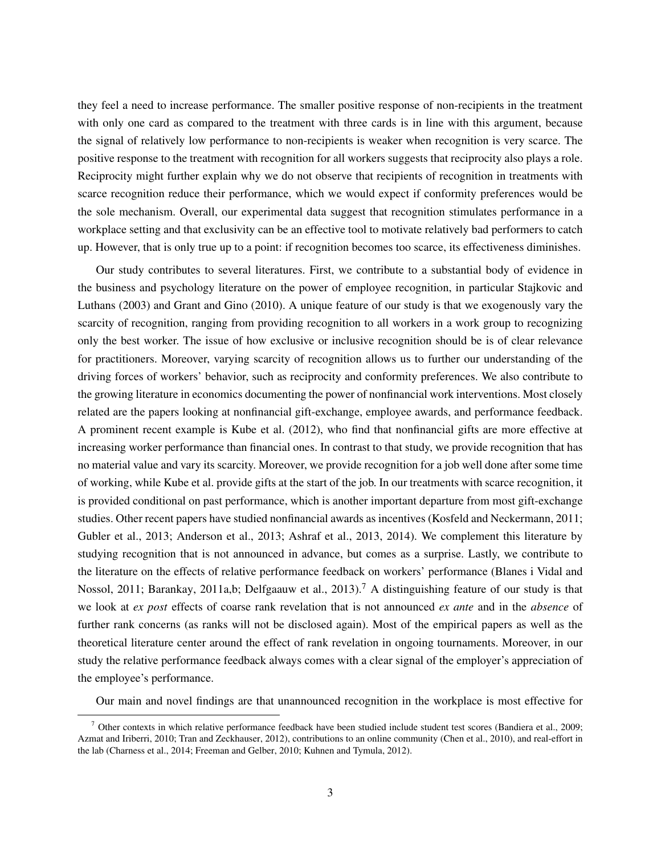they feel a need to increase performance. The smaller positive response of non-recipients in the treatment with only one card as compared to the treatment with three cards is in line with this argument, because the signal of relatively low performance to non-recipients is weaker when recognition is very scarce. The positive response to the treatment with recognition for all workers suggests that reciprocity also plays a role. Reciprocity might further explain why we do not observe that recipients of recognition in treatments with scarce recognition reduce their performance, which we would expect if conformity preferences would be the sole mechanism. Overall, our experimental data suggest that recognition stimulates performance in a workplace setting and that exclusivity can be an effective tool to motivate relatively bad performers to catch up. However, that is only true up to a point: if recognition becomes too scarce, its effectiveness diminishes.

Our study contributes to several literatures. First, we contribute to a substantial body of evidence in the business and psychology literature on the power of employee recognition, in particular Stajkovic and Luthans (2003) and Grant and Gino (2010). A unique feature of our study is that we exogenously vary the scarcity of recognition, ranging from providing recognition to all workers in a work group to recognizing only the best worker. The issue of how exclusive or inclusive recognition should be is of clear relevance for practitioners. Moreover, varying scarcity of recognition allows us to further our understanding of the driving forces of workers' behavior, such as reciprocity and conformity preferences. We also contribute to the growing literature in economics documenting the power of nonfinancial work interventions. Most closely related are the papers looking at nonfinancial gift-exchange, employee awards, and performance feedback. A prominent recent example is Kube et al. (2012), who find that nonfinancial gifts are more effective at increasing worker performance than financial ones. In contrast to that study, we provide recognition that has no material value and vary its scarcity. Moreover, we provide recognition for a job well done after some time of working, while Kube et al. provide gifts at the start of the job. In our treatments with scarce recognition, it is provided conditional on past performance, which is another important departure from most gift-exchange studies. Other recent papers have studied nonfinancial awards as incentives (Kosfeld and Neckermann, 2011; Gubler et al., 2013; Anderson et al., 2013; Ashraf et al., 2013, 2014). We complement this literature by studying recognition that is not announced in advance, but comes as a surprise. Lastly, we contribute to the literature on the effects of relative performance feedback on workers' performance (Blanes i Vidal and Nossol, 2011; Barankay, 2011a,b; Delfgaauw et al., 2013).<sup>7</sup> A distinguishing feature of our study is that we look at *ex post* effects of coarse rank revelation that is not announced *ex ante* and in the *absence* of further rank concerns (as ranks will not be disclosed again). Most of the empirical papers as well as the theoretical literature center around the effect of rank revelation in ongoing tournaments. Moreover, in our study the relative performance feedback always comes with a clear signal of the employer's appreciation of the employee's performance.

Our main and novel findings are that unannounced recognition in the workplace is most effective for

 $\frac{7}{7}$  Other contexts in which relative performance feedback have been studied include student test scores (Bandiera et al., 2009; Azmat and Iriberri, 2010; Tran and Zeckhauser, 2012), contributions to an online community (Chen et al., 2010), and real-effort in the lab (Charness et al., 2014; Freeman and Gelber, 2010; Kuhnen and Tymula, 2012).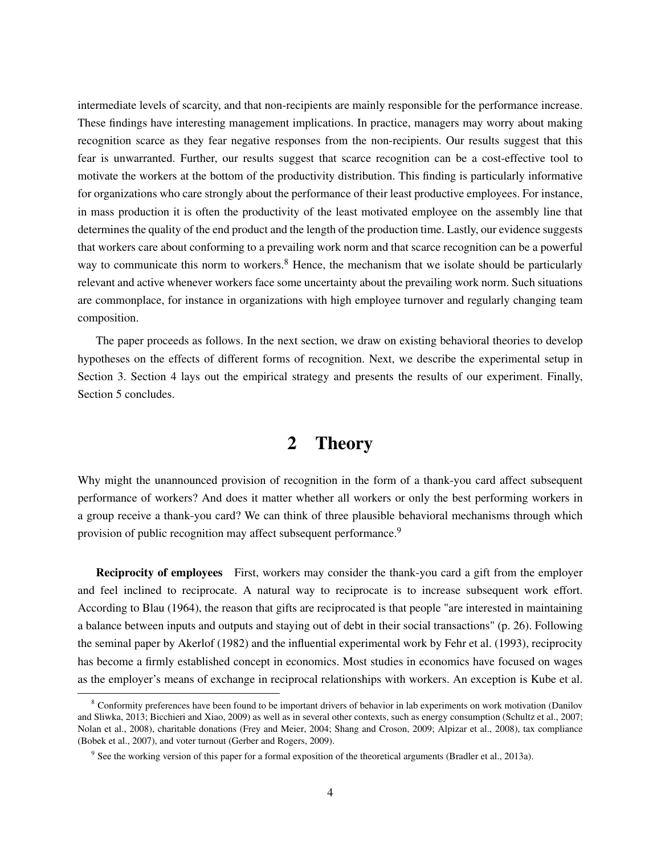intermediate levels of scarcity, and that non-recipients are mainly responsible for the performance increase. These findings have interesting management implications. In practice, managers may worry about making recognition scarce as they fear negative responses from the non-recipients. Our results suggest that this fear is unwarranted. Further, our results suggest that scarce recognition can be a cost-effective tool to motivate the workers at the bottom of the productivity distribution. This finding is particularly informative for organizations who care strongly about the performance of their least productive employees. For instance, in mass production it is often the productivity of the least motivated employee on the assembly line that determines the quality of the end product and the length of the production time. Lastly, our evidence suggests that workers care about conforming to a prevailing work norm and that scarce recognition can be a powerful way to communicate this norm to workers.<sup>8</sup> Hence, the mechanism that we isolate should be particularly relevant and active whenever workers face some uncertainty about the prevailing work norm. Such situations are commonplace, for instance in organizations with high employee turnover and regularly changing team composition.

The paper proceeds as follows. In the next section, we draw on existing behavioral theories to develop hypotheses on the effects of different forms of recognition. Next, we describe the experimental setup in Section 3. Section 4 lays out the empirical strategy and presents the results of our experiment. Finally, Section 5 concludes.

#### 2 Theory

Why might the unannounced provision of recognition in the form of a thank-you card affect subsequent performance of workers? And does it matter whether all workers or only the best performing workers in a group receive a thank-you card? We can think of three plausible behavioral mechanisms through which provision of public recognition may affect subsequent performance.<sup>9</sup>

Reciprocity of employees First, workers may consider the thank-you card a gift from the employer and feel inclined to reciprocate. A natural way to reciprocate is to increase subsequent work effort. According to Blau (1964), the reason that gifts are reciprocated is that people "are interested in maintaining a balance between inputs and outputs and staying out of debt in their social transactions" (p. 26). Following the seminal paper by Akerlof (1982) and the influential experimental work by Fehr et al. (1993), reciprocity has become a firmly established concept in economics. Most studies in economics have focused on wages as the employer's means of exchange in reciprocal relationships with workers. An exception is Kube et al.

<sup>&</sup>lt;sup>8</sup> Conformity preferences have been found to be important drivers of behavior in lab experiments on work motivation (Danilov and Sliwka, 2013; Bicchieri and Xiao, 2009) as well as in several other contexts, such as energy consumption (Schultz et al., 2007; Nolan et al., 2008), charitable donations (Frey and Meier, 2004; Shang and Croson, 2009; Alpizar et al., 2008), tax compliance (Bobek et al., 2007), and voter turnout (Gerber and Rogers, 2009).

<sup>&</sup>lt;sup>9</sup> See the working version of this paper for a formal exposition of the theoretical arguments (Bradler et al., 2013a).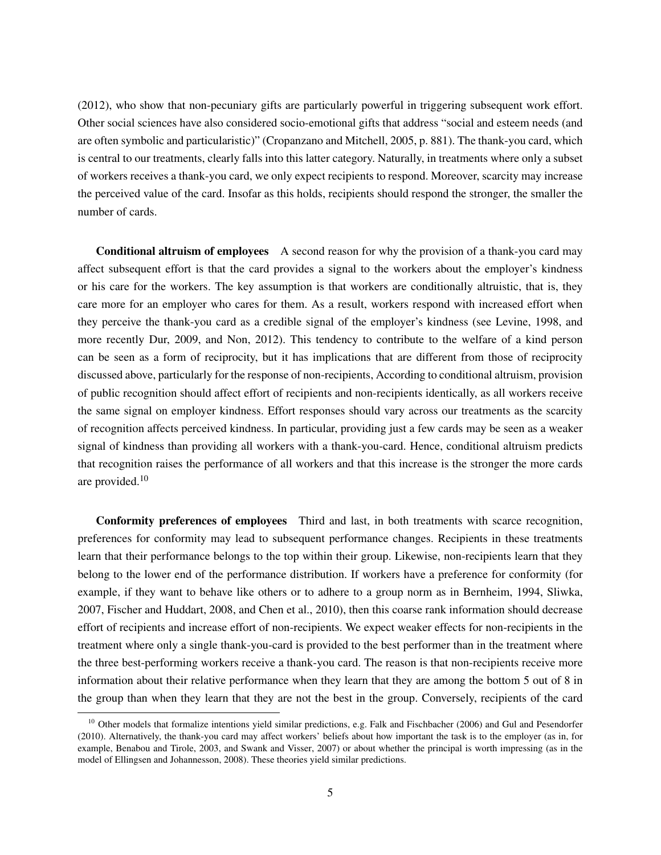(2012), who show that non-pecuniary gifts are particularly powerful in triggering subsequent work effort. Other social sciences have also considered socio-emotional gifts that address "social and esteem needs (and are often symbolic and particularistic)" (Cropanzano and Mitchell, 2005, p. 881). The thank-you card, which is central to our treatments, clearly falls into this latter category. Naturally, in treatments where only a subset of workers receives a thank-you card, we only expect recipients to respond. Moreover, scarcity may increase the perceived value of the card. Insofar as this holds, recipients should respond the stronger, the smaller the number of cards.

Conditional altruism of employees A second reason for why the provision of a thank-you card may affect subsequent effort is that the card provides a signal to the workers about the employer's kindness or his care for the workers. The key assumption is that workers are conditionally altruistic, that is, they care more for an employer who cares for them. As a result, workers respond with increased effort when they perceive the thank-you card as a credible signal of the employer's kindness (see Levine, 1998, and more recently Dur, 2009, and Non, 2012). This tendency to contribute to the welfare of a kind person can be seen as a form of reciprocity, but it has implications that are different from those of reciprocity discussed above, particularly for the response of non-recipients, According to conditional altruism, provision of public recognition should affect effort of recipients and non-recipients identically, as all workers receive the same signal on employer kindness. Effort responses should vary across our treatments as the scarcity of recognition affects perceived kindness. In particular, providing just a few cards may be seen as a weaker signal of kindness than providing all workers with a thank-you-card. Hence, conditional altruism predicts that recognition raises the performance of all workers and that this increase is the stronger the more cards are provided.<sup>10</sup>

Conformity preferences of employees Third and last, in both treatments with scarce recognition, preferences for conformity may lead to subsequent performance changes. Recipients in these treatments learn that their performance belongs to the top within their group. Likewise, non-recipients learn that they belong to the lower end of the performance distribution. If workers have a preference for conformity (for example, if they want to behave like others or to adhere to a group norm as in Bernheim, 1994, Sliwka, 2007, Fischer and Huddart, 2008, and Chen et al., 2010), then this coarse rank information should decrease effort of recipients and increase effort of non-recipients. We expect weaker effects for non-recipients in the treatment where only a single thank-you-card is provided to the best performer than in the treatment where the three best-performing workers receive a thank-you card. The reason is that non-recipients receive more information about their relative performance when they learn that they are among the bottom 5 out of 8 in the group than when they learn that they are not the best in the group. Conversely, recipients of the card

 $10$  Other models that formalize intentions yield similar predictions, e.g. Falk and Fischbacher (2006) and Gul and Pesendorfer (2010). Alternatively, the thank-you card may affect workers' beliefs about how important the task is to the employer (as in, for example, Benabou and Tirole, 2003, and Swank and Visser, 2007) or about whether the principal is worth impressing (as in the model of Ellingsen and Johannesson, 2008). These theories yield similar predictions.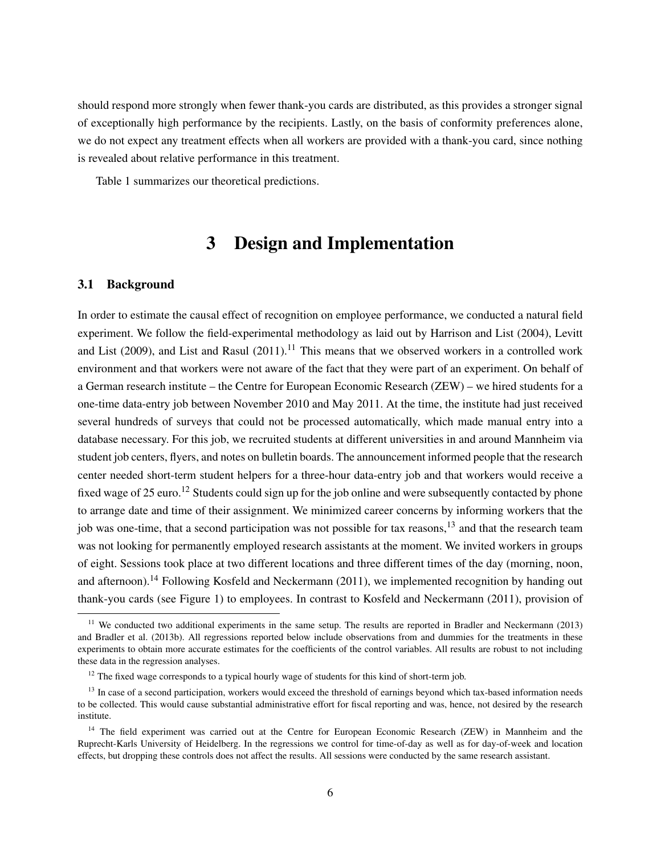should respond more strongly when fewer thank-you cards are distributed, as this provides a stronger signal of exceptionally high performance by the recipients. Lastly, on the basis of conformity preferences alone, we do not expect any treatment effects when all workers are provided with a thank-you card, since nothing is revealed about relative performance in this treatment.

Table 1 summarizes our theoretical predictions.

### 3 Design and Implementation

#### 3.1 Background

In order to estimate the causal effect of recognition on employee performance, we conducted a natural field experiment. We follow the field-experimental methodology as laid out by Harrison and List (2004), Levitt and List (2009), and List and Rasul (2011).<sup>11</sup> This means that we observed workers in a controlled work environment and that workers were not aware of the fact that they were part of an experiment. On behalf of a German research institute – the Centre for European Economic Research (ZEW) – we hired students for a one-time data-entry job between November 2010 and May 2011. At the time, the institute had just received several hundreds of surveys that could not be processed automatically, which made manual entry into a database necessary. For this job, we recruited students at different universities in and around Mannheim via student job centers, flyers, and notes on bulletin boards. The announcement informed people that the research center needed short-term student helpers for a three-hour data-entry job and that workers would receive a fixed wage of 25 euro.<sup>12</sup> Students could sign up for the job online and were subsequently contacted by phone to arrange date and time of their assignment. We minimized career concerns by informing workers that the job was one-time, that a second participation was not possible for tax reasons,<sup>13</sup> and that the research team was not looking for permanently employed research assistants at the moment. We invited workers in groups of eight. Sessions took place at two different locations and three different times of the day (morning, noon, and afternoon).<sup>14</sup> Following Kosfeld and Neckermann (2011), we implemented recognition by handing out thank-you cards (see Figure 1) to employees. In contrast to Kosfeld and Neckermann (2011), provision of

 $11$  We conducted two additional experiments in the same setup. The results are reported in Bradler and Neckermann (2013) and Bradler et al. (2013b). All regressions reported below include observations from and dummies for the treatments in these experiments to obtain more accurate estimates for the coefficients of the control variables. All results are robust to not including these data in the regression analyses.

<sup>&</sup>lt;sup>12</sup> The fixed wage corresponds to a typical hourly wage of students for this kind of short-term job.

<sup>&</sup>lt;sup>13</sup> In case of a second participation, workers would exceed the threshold of earnings beyond which tax-based information needs to be collected. This would cause substantial administrative effort for fiscal reporting and was, hence, not desired by the research institute.

<sup>&</sup>lt;sup>14</sup> The field experiment was carried out at the Centre for European Economic Research (ZEW) in Mannheim and the Ruprecht-Karls University of Heidelberg. In the regressions we control for time-of-day as well as for day-of-week and location effects, but dropping these controls does not affect the results. All sessions were conducted by the same research assistant.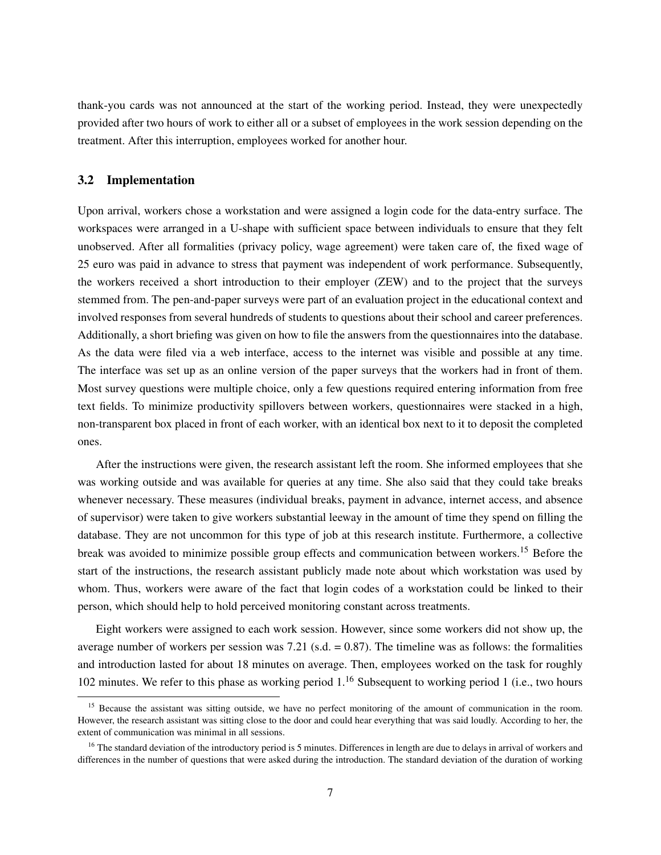thank-you cards was not announced at the start of the working period. Instead, they were unexpectedly provided after two hours of work to either all or a subset of employees in the work session depending on the treatment. After this interruption, employees worked for another hour.

#### 3.2 Implementation

Upon arrival, workers chose a workstation and were assigned a login code for the data-entry surface. The workspaces were arranged in a U-shape with sufficient space between individuals to ensure that they felt unobserved. After all formalities (privacy policy, wage agreement) were taken care of, the fixed wage of 25 euro was paid in advance to stress that payment was independent of work performance. Subsequently, the workers received a short introduction to their employer (ZEW) and to the project that the surveys stemmed from. The pen-and-paper surveys were part of an evaluation project in the educational context and involved responses from several hundreds of students to questions about their school and career preferences. Additionally, a short briefing was given on how to file the answers from the questionnaires into the database. As the data were filed via a web interface, access to the internet was visible and possible at any time. The interface was set up as an online version of the paper surveys that the workers had in front of them. Most survey questions were multiple choice, only a few questions required entering information from free text fields. To minimize productivity spillovers between workers, questionnaires were stacked in a high, non-transparent box placed in front of each worker, with an identical box next to it to deposit the completed ones.

After the instructions were given, the research assistant left the room. She informed employees that she was working outside and was available for queries at any time. She also said that they could take breaks whenever necessary. These measures (individual breaks, payment in advance, internet access, and absence of supervisor) were taken to give workers substantial leeway in the amount of time they spend on filling the database. They are not uncommon for this type of job at this research institute. Furthermore, a collective break was avoided to minimize possible group effects and communication between workers.<sup>15</sup> Before the start of the instructions, the research assistant publicly made note about which workstation was used by whom. Thus, workers were aware of the fact that login codes of a workstation could be linked to their person, which should help to hold perceived monitoring constant across treatments.

Eight workers were assigned to each work session. However, since some workers did not show up, the average number of workers per session was  $7.21$  (s.d. = 0.87). The timeline was as follows: the formalities and introduction lasted for about 18 minutes on average. Then, employees worked on the task for roughly 102 minutes. We refer to this phase as working period 1.<sup>16</sup> Subsequent to working period 1 (i.e., two hours

<sup>&</sup>lt;sup>15</sup> Because the assistant was sitting outside, we have no perfect monitoring of the amount of communication in the room. However, the research assistant was sitting close to the door and could hear everything that was said loudly. According to her, the extent of communication was minimal in all sessions.

<sup>&</sup>lt;sup>16</sup> The standard deviation of the introductory period is 5 minutes. Differences in length are due to delays in arrival of workers and differences in the number of questions that were asked during the introduction. The standard deviation of the duration of working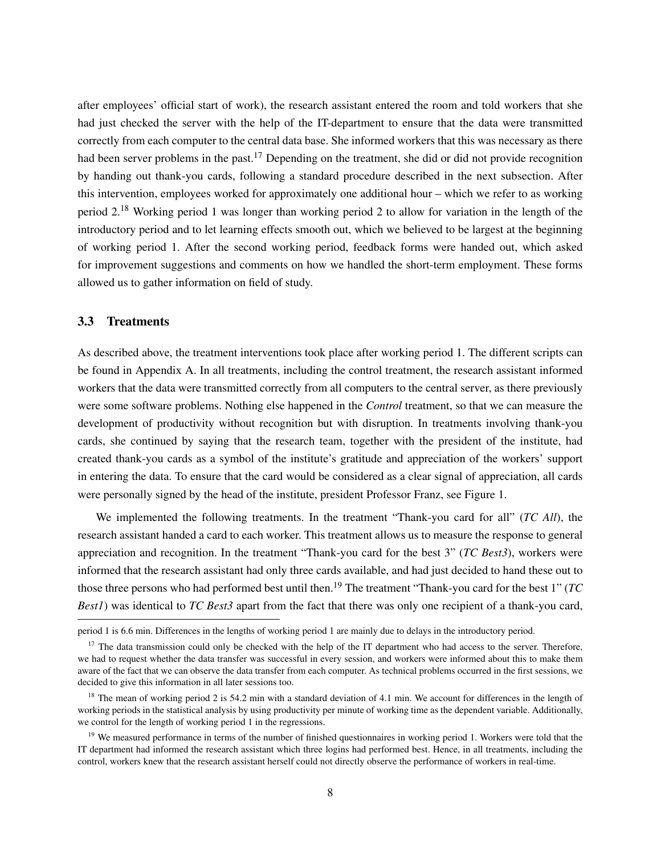after employees' official start of work), the research assistant entered the room and told workers that she had just checked the server with the help of the IT-department to ensure that the data were transmitted correctly from each computer to the central data base. She informed workers that this was necessary as there had been server problems in the past.<sup>17</sup> Depending on the treatment, she did or did not provide recognition by handing out thank-you cards, following a standard procedure described in the next subsection. After this intervention, employees worked for approximately one additional hour – which we refer to as working period 2.<sup>18</sup> Working period 1 was longer than working period 2 to allow for variation in the length of the introductory period and to let learning effects smooth out, which we believed to be largest at the beginning of working period 1. After the second working period, feedback forms were handed out, which asked for improvement suggestions and comments on how we handled the short-term employment. These forms allowed us to gather information on field of study.

#### 3.3 Treatments

As described above, the treatment interventions took place after working period 1. The different scripts can be found in Appendix A. In all treatments, including the control treatment, the research assistant informed workers that the data were transmitted correctly from all computers to the central server, as there previously were some software problems. Nothing else happened in the *Control* treatment, so that we can measure the development of productivity without recognition but with disruption. In treatments involving thank-you cards, she continued by saying that the research team, together with the president of the institute, had created thank-you cards as a symbol of the institute's gratitude and appreciation of the workers' support in entering the data. To ensure that the card would be considered as a clear signal of appreciation, all cards were personally signed by the head of the institute, president Professor Franz, see Figure 1.

We implemented the following treatments. In the treatment "Thank-you card for all" (*TC All*), the research assistant handed a card to each worker. This treatment allows us to measure the response to general appreciation and recognition. In the treatment "Thank-you card for the best 3" (*TC Best3*), workers were informed that the research assistant had only three cards available, and had just decided to hand these out to those three persons who had performed best until then.<sup>19</sup> The treatment "Thank-you card for the best 1" (*TC Best1*) was identical to *TC Best3* apart from the fact that there was only one recipient of a thank-you card,

period 1 is 6.6 min. Differences in the lengths of working period 1 are mainly due to delays in the introductory period.

 $17$  The data transmission could only be checked with the help of the IT department who had access to the server. Therefore, we had to request whether the data transfer was successful in every session, and workers were informed about this to make them aware of the fact that we can observe the data transfer from each computer. As technical problems occurred in the first sessions, we decided to give this information in all later sessions too.

<sup>&</sup>lt;sup>18</sup> The mean of working period 2 is 54.2 min with a standard deviation of 4.1 min. We account for differences in the length of working periods in the statistical analysis by using productivity per minute of working time as the dependent variable. Additionally, we control for the length of working period 1 in the regressions.

<sup>&</sup>lt;sup>19</sup> We measured performance in terms of the number of finished questionnaires in working period 1. Workers were told that the IT department had informed the research assistant which three logins had performed best. Hence, in all treatments, including the control, workers knew that the research assistant herself could not directly observe the performance of workers in real-time.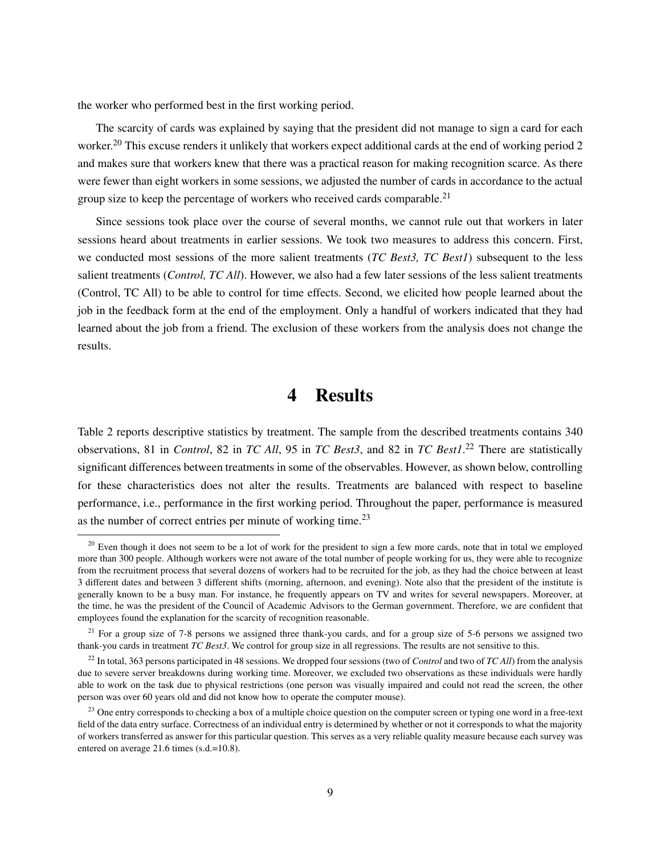the worker who performed best in the first working period.

The scarcity of cards was explained by saying that the president did not manage to sign a card for each worker.<sup>20</sup> This excuse renders it unlikely that workers expect additional cards at the end of working period 2 and makes sure that workers knew that there was a practical reason for making recognition scarce. As there were fewer than eight workers in some sessions, we adjusted the number of cards in accordance to the actual group size to keep the percentage of workers who received cards comparable.<sup>21</sup>

Since sessions took place over the course of several months, we cannot rule out that workers in later sessions heard about treatments in earlier sessions. We took two measures to address this concern. First, we conducted most sessions of the more salient treatments (*TC Best3, TC Best1*) subsequent to the less salient treatments (*Control, TC All*). However, we also had a few later sessions of the less salient treatments (Control, TC All) to be able to control for time effects. Second, we elicited how people learned about the job in the feedback form at the end of the employment. Only a handful of workers indicated that they had learned about the job from a friend. The exclusion of these workers from the analysis does not change the results.

### 4 Results

Table 2 reports descriptive statistics by treatment. The sample from the described treatments contains 340 observations, 81 in *Control*, 82 in *TC All*, 95 in *TC Best3*, and 82 in *TC Best1*. <sup>22</sup> There are statistically significant differences between treatments in some of the observables. However, as shown below, controlling for these characteristics does not alter the results. Treatments are balanced with respect to baseline performance, i.e., performance in the first working period. Throughout the paper, performance is measured as the number of correct entries per minute of working time.<sup>23</sup>

<sup>&</sup>lt;sup>20</sup> Even though it does not seem to be a lot of work for the president to sign a few more cards, note that in total we employed more than 300 people. Although workers were not aware of the total number of people working for us, they were able to recognize from the recruitment process that several dozens of workers had to be recruited for the job, as they had the choice between at least 3 different dates and between 3 different shifts (morning, afternoon, and evening). Note also that the president of the institute is generally known to be a busy man. For instance, he frequently appears on TV and writes for several newspapers. Moreover, at the time, he was the president of the Council of Academic Advisors to the German government. Therefore, we are confident that employees found the explanation for the scarcity of recognition reasonable.

<sup>&</sup>lt;sup>21</sup> For a group size of 7-8 persons we assigned three thank-you cards, and for a group size of 5-6 persons we assigned two thank-you cards in treatment *TC Best3*. We control for group size in all regressions. The results are not sensitive to this.

<sup>22</sup> In total, 363 persons participated in 48 sessions. We dropped four sessions (two of *Control* and two of *TC All*) from the analysis due to severe server breakdowns during working time. Moreover, we excluded two observations as these individuals were hardly able to work on the task due to physical restrictions (one person was visually impaired and could not read the screen, the other person was over 60 years old and did not know how to operate the computer mouse).

<sup>&</sup>lt;sup>23</sup> One entry corresponds to checking a box of a multiple choice question on the computer screen or typing one word in a free-text field of the data entry surface. Correctness of an individual entry is determined by whether or not it corresponds to what the majority of workers transferred as answer for this particular question. This serves as a very reliable quality measure because each survey was entered on average 21.6 times (s.d.=10.8).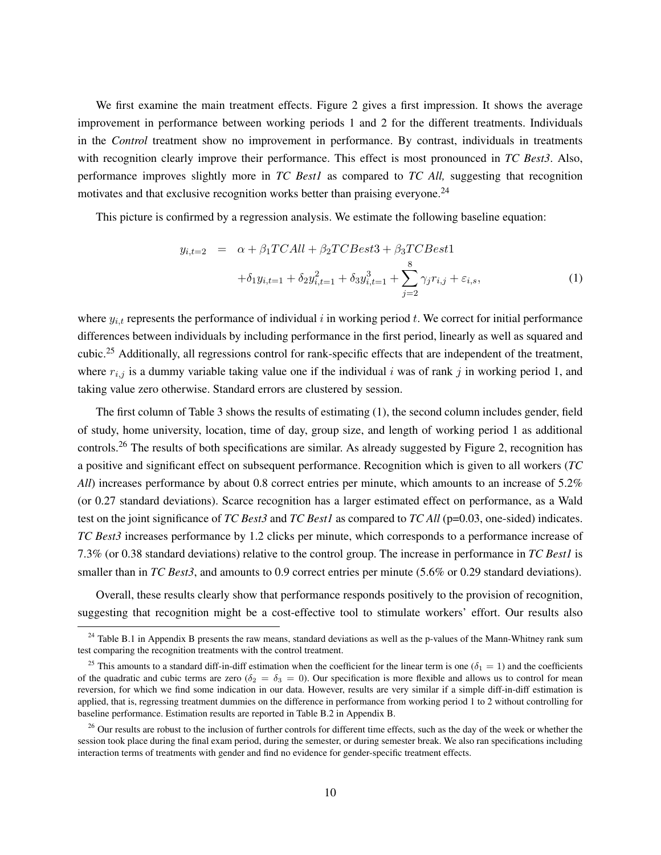We first examine the main treatment effects. Figure 2 gives a first impression. It shows the average improvement in performance between working periods 1 and 2 for the different treatments. Individuals in the *Control* treatment show no improvement in performance. By contrast, individuals in treatments with recognition clearly improve their performance. This effect is most pronounced in *TC Best3*. Also, performance improves slightly more in *TC Best1* as compared to *TC All,* suggesting that recognition motivates and that exclusive recognition works better than praising everyone.<sup>24</sup>

This picture is confirmed by a regression analysis. We estimate the following baseline equation:

$$
y_{i,t=2} = \alpha + \beta_1 TCAll + \beta_2 TCBest3 + \beta_3 TCBest1
$$
  
+  $\delta_1 y_{i,t=1} + \delta_2 y_{i,t=1}^2 + \delta_3 y_{i,t=1}^3 + \sum_{j=2}^8 \gamma_j r_{i,j} + \varepsilon_{i,s},$  (1)

where  $y_{i,t}$  represents the performance of individual i in working period t. We correct for initial performance differences between individuals by including performance in the first period, linearly as well as squared and cubic.<sup>25</sup> Additionally, all regressions control for rank-specific effects that are independent of the treatment, where  $r_{i,j}$  is a dummy variable taking value one if the individual i was of rank j in working period 1, and taking value zero otherwise. Standard errors are clustered by session.

The first column of Table 3 shows the results of estimating (1), the second column includes gender, field of study, home university, location, time of day, group size, and length of working period 1 as additional controls.<sup>26</sup> The results of both specifications are similar. As already suggested by Figure 2, recognition has a positive and significant effect on subsequent performance. Recognition which is given to all workers (*TC All*) increases performance by about 0.8 correct entries per minute, which amounts to an increase of 5.2% (or 0.27 standard deviations). Scarce recognition has a larger estimated effect on performance, as a Wald test on the joint significance of *TC Best3* and *TC Best1* as compared to *TC All* (p=0.03, one-sided) indicates. *TC Best3* increases performance by 1.2 clicks per minute, which corresponds to a performance increase of 7.3% (or 0.38 standard deviations) relative to the control group. The increase in performance in *TC Best1* is smaller than in *TC Best3*, and amounts to 0.9 correct entries per minute (5.6% or 0.29 standard deviations).

Overall, these results clearly show that performance responds positively to the provision of recognition, suggesting that recognition might be a cost-effective tool to stimulate workers' effort. Our results also

 $24$  Table B.1 in Appendix B presents the raw means, standard deviations as well as the p-values of the Mann-Whitney rank sum test comparing the recognition treatments with the control treatment.

<sup>&</sup>lt;sup>25</sup> This amounts to a standard diff-in-diff estimation when the coefficient for the linear term is one ( $\delta_1 = 1$ ) and the coefficients of the quadratic and cubic terms are zero ( $\delta_2 = \delta_3 = 0$ ). Our specification is more flexible and allows us to control for mean reversion, for which we find some indication in our data. However, results are very similar if a simple diff-in-diff estimation is applied, that is, regressing treatment dummies on the difference in performance from working period 1 to 2 without controlling for baseline performance. Estimation results are reported in Table B.2 in Appendix B.

 $^{26}$  Our results are robust to the inclusion of further controls for different time effects, such as the day of the week or whether the session took place during the final exam period, during the semester, or during semester break. We also ran specifications including interaction terms of treatments with gender and find no evidence for gender-specific treatment effects.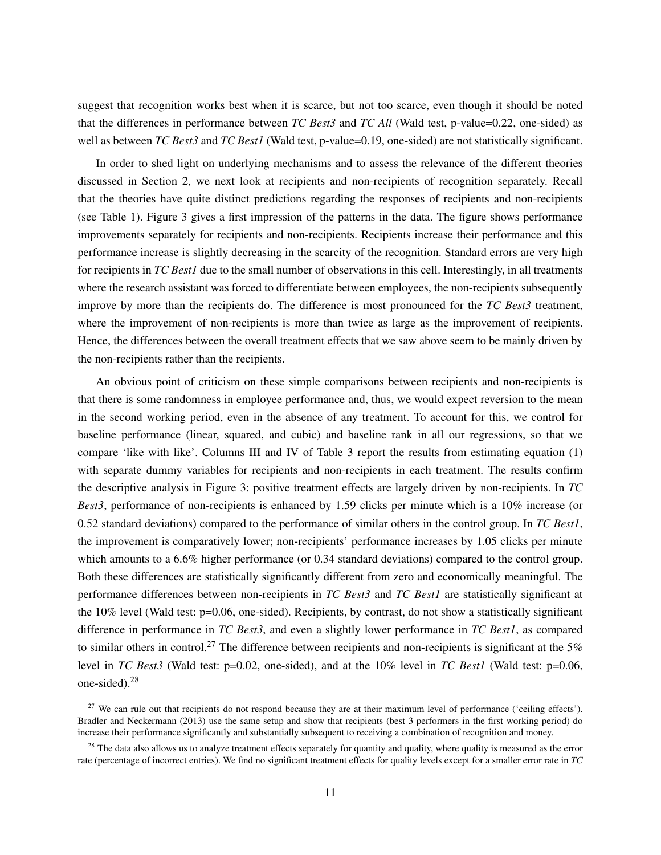suggest that recognition works best when it is scarce, but not too scarce, even though it should be noted that the differences in performance between *TC Best3* and *TC All* (Wald test, p-value=0.22, one-sided) as well as between *TC Best3* and *TC Best1* (Wald test, p-value=0.19, one-sided) are not statistically significant.

In order to shed light on underlying mechanisms and to assess the relevance of the different theories discussed in Section 2, we next look at recipients and non-recipients of recognition separately. Recall that the theories have quite distinct predictions regarding the responses of recipients and non-recipients (see Table 1). Figure 3 gives a first impression of the patterns in the data. The figure shows performance improvements separately for recipients and non-recipients. Recipients increase their performance and this performance increase is slightly decreasing in the scarcity of the recognition. Standard errors are very high for recipients in *TC Best1* due to the small number of observations in this cell. Interestingly, in all treatments where the research assistant was forced to differentiate between employees, the non-recipients subsequently improve by more than the recipients do. The difference is most pronounced for the *TC Best3* treatment, where the improvement of non-recipients is more than twice as large as the improvement of recipients. Hence, the differences between the overall treatment effects that we saw above seem to be mainly driven by the non-recipients rather than the recipients.

An obvious point of criticism on these simple comparisons between recipients and non-recipients is that there is some randomness in employee performance and, thus, we would expect reversion to the mean in the second working period, even in the absence of any treatment. To account for this, we control for baseline performance (linear, squared, and cubic) and baseline rank in all our regressions, so that we compare 'like with like'. Columns III and IV of Table 3 report the results from estimating equation  $(1)$ with separate dummy variables for recipients and non-recipients in each treatment. The results confirm the descriptive analysis in Figure 3: positive treatment effects are largely driven by non-recipients. In *TC Best3*, performance of non-recipients is enhanced by 1.59 clicks per minute which is a 10% increase (or 0.52 standard deviations) compared to the performance of similar others in the control group. In *TC Best1*, the improvement is comparatively lower; non-recipients' performance increases by 1.05 clicks per minute which amounts to a 6.6% higher performance (or 0.34 standard deviations) compared to the control group. Both these differences are statistically significantly different from zero and economically meaningful. The performance differences between non-recipients in *TC Best3* and *TC Best1* are statistically significant at the 10% level (Wald test: p=0.06, one-sided). Recipients, by contrast, do not show a statistically significant difference in performance in *TC Best3*, and even a slightly lower performance in *TC Best1*, as compared to similar others in control.<sup>27</sup> The difference between recipients and non-recipients is significant at the 5% level in *TC Best3* (Wald test: p=0.02, one-sided), and at the 10% level in *TC Best1* (Wald test: p=0.06, one-sided).<sup>28</sup>

<sup>&</sup>lt;sup>27</sup> We can rule out that recipients do not respond because they are at their maximum level of performance ('ceiling effects'). Bradler and Neckermann (2013) use the same setup and show that recipients (best 3 performers in the first working period) do increase their performance significantly and substantially subsequent to receiving a combination of recognition and money.

 $28$  The data also allows us to analyze treatment effects separately for quantity and quality, where quality is measured as the error rate (percentage of incorrect entries). We find no significant treatment effects for quality levels except for a smaller error rate in *TC*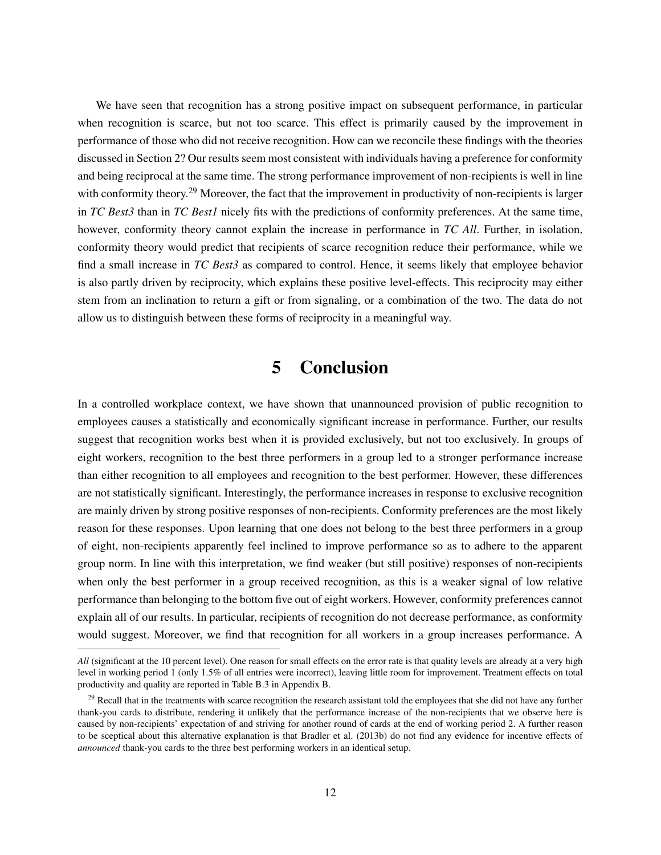We have seen that recognition has a strong positive impact on subsequent performance, in particular when recognition is scarce, but not too scarce. This effect is primarily caused by the improvement in performance of those who did not receive recognition. How can we reconcile these findings with the theories discussed in Section 2? Our results seem most consistent with individuals having a preference for conformity and being reciprocal at the same time. The strong performance improvement of non-recipients is well in line with conformity theory.<sup>29</sup> Moreover, the fact that the improvement in productivity of non-recipients is larger in *TC Best3* than in *TC Best1* nicely fits with the predictions of conformity preferences. At the same time, however, conformity theory cannot explain the increase in performance in *TC All*. Further, in isolation, conformity theory would predict that recipients of scarce recognition reduce their performance, while we find a small increase in *TC Best3* as compared to control. Hence, it seems likely that employee behavior is also partly driven by reciprocity, which explains these positive level-effects. This reciprocity may either stem from an inclination to return a gift or from signaling, or a combination of the two. The data do not allow us to distinguish between these forms of reciprocity in a meaningful way.

#### 5 Conclusion

In a controlled workplace context, we have shown that unannounced provision of public recognition to employees causes a statistically and economically significant increase in performance. Further, our results suggest that recognition works best when it is provided exclusively, but not too exclusively. In groups of eight workers, recognition to the best three performers in a group led to a stronger performance increase than either recognition to all employees and recognition to the best performer. However, these differences are not statistically significant. Interestingly, the performance increases in response to exclusive recognition are mainly driven by strong positive responses of non-recipients. Conformity preferences are the most likely reason for these responses. Upon learning that one does not belong to the best three performers in a group of eight, non-recipients apparently feel inclined to improve performance so as to adhere to the apparent group norm. In line with this interpretation, we find weaker (but still positive) responses of non-recipients when only the best performer in a group received recognition, as this is a weaker signal of low relative performance than belonging to the bottom five out of eight workers. However, conformity preferences cannot explain all of our results. In particular, recipients of recognition do not decrease performance, as conformity would suggest. Moreover, we find that recognition for all workers in a group increases performance. A

*All* (significant at the 10 percent level). One reason for small effects on the error rate is that quality levels are already at a very high level in working period 1 (only 1.5% of all entries were incorrect), leaving little room for improvement. Treatment effects on total productivity and quality are reported in Table B.3 in Appendix B.

<sup>&</sup>lt;sup>29</sup> Recall that in the treatments with scarce recognition the research assistant told the employees that she did not have any further thank-you cards to distribute, rendering it unlikely that the performance increase of the non-recipients that we observe here is caused by non-recipients' expectation of and striving for another round of cards at the end of working period 2. A further reason to be sceptical about this alternative explanation is that Bradler et al. (2013b) do not find any evidence for incentive effects of *announced* thank-you cards to the three best performing workers in an identical setup.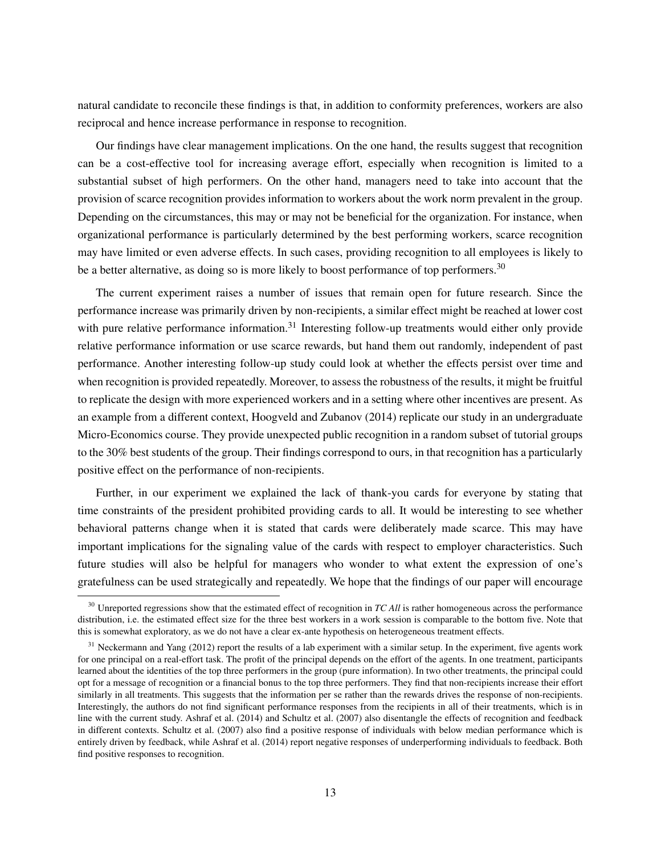natural candidate to reconcile these findings is that, in addition to conformity preferences, workers are also reciprocal and hence increase performance in response to recognition.

Our findings have clear management implications. On the one hand, the results suggest that recognition can be a cost-effective tool for increasing average effort, especially when recognition is limited to a substantial subset of high performers. On the other hand, managers need to take into account that the provision of scarce recognition provides information to workers about the work norm prevalent in the group. Depending on the circumstances, this may or may not be beneficial for the organization. For instance, when organizational performance is particularly determined by the best performing workers, scarce recognition may have limited or even adverse effects. In such cases, providing recognition to all employees is likely to be a better alternative, as doing so is more likely to boost performance of top performers.<sup>30</sup>

The current experiment raises a number of issues that remain open for future research. Since the performance increase was primarily driven by non-recipients, a similar effect might be reached at lower cost with pure relative performance information.<sup>31</sup> Interesting follow-up treatments would either only provide relative performance information or use scarce rewards, but hand them out randomly, independent of past performance. Another interesting follow-up study could look at whether the effects persist over time and when recognition is provided repeatedly. Moreover, to assess the robustness of the results, it might be fruitful to replicate the design with more experienced workers and in a setting where other incentives are present. As an example from a different context, Hoogveld and Zubanov (2014) replicate our study in an undergraduate Micro-Economics course. They provide unexpected public recognition in a random subset of tutorial groups to the 30% best students of the group. Their findings correspond to ours, in that recognition has a particularly positive effect on the performance of non-recipients.

Further, in our experiment we explained the lack of thank-you cards for everyone by stating that time constraints of the president prohibited providing cards to all. It would be interesting to see whether behavioral patterns change when it is stated that cards were deliberately made scarce. This may have important implications for the signaling value of the cards with respect to employer characteristics. Such future studies will also be helpful for managers who wonder to what extent the expression of one's gratefulness can be used strategically and repeatedly. We hope that the findings of our paper will encourage

<sup>&</sup>lt;sup>30</sup> Unreported regressions show that the estimated effect of recognition in *TC All* is rather homogeneous across the performance distribution, i.e. the estimated effect size for the three best workers in a work session is comparable to the bottom five. Note that this is somewhat exploratory, as we do not have a clear ex-ante hypothesis on heterogeneous treatment effects.

<sup>&</sup>lt;sup>31</sup> Neckermann and Yang (2012) report the results of a lab experiment with a similar setup. In the experiment, five agents work for one principal on a real-effort task. The profit of the principal depends on the effort of the agents. In one treatment, participants learned about the identities of the top three performers in the group (pure information). In two other treatments, the principal could opt for a message of recognition or a financial bonus to the top three performers. They find that non-recipients increase their effort similarly in all treatments. This suggests that the information per se rather than the rewards drives the response of non-recipients. Interestingly, the authors do not find significant performance responses from the recipients in all of their treatments, which is in line with the current study. Ashraf et al. (2014) and Schultz et al. (2007) also disentangle the effects of recognition and feedback in different contexts. Schultz et al. (2007) also find a positive response of individuals with below median performance which is entirely driven by feedback, while Ashraf et al. (2014) report negative responses of underperforming individuals to feedback. Both find positive responses to recognition.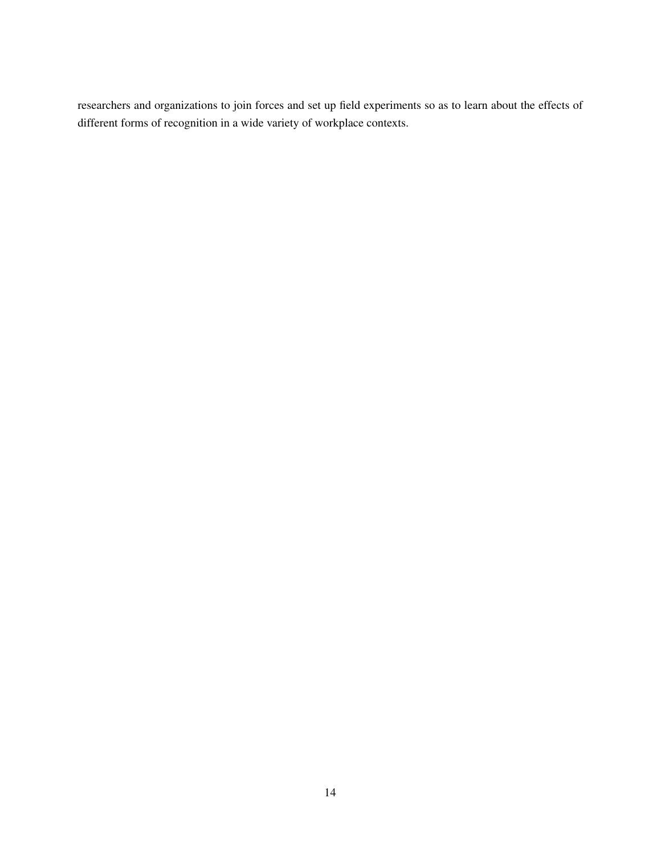researchers and organizations to join forces and set up field experiments so as to learn about the effects of different forms of recognition in a wide variety of workplace contexts.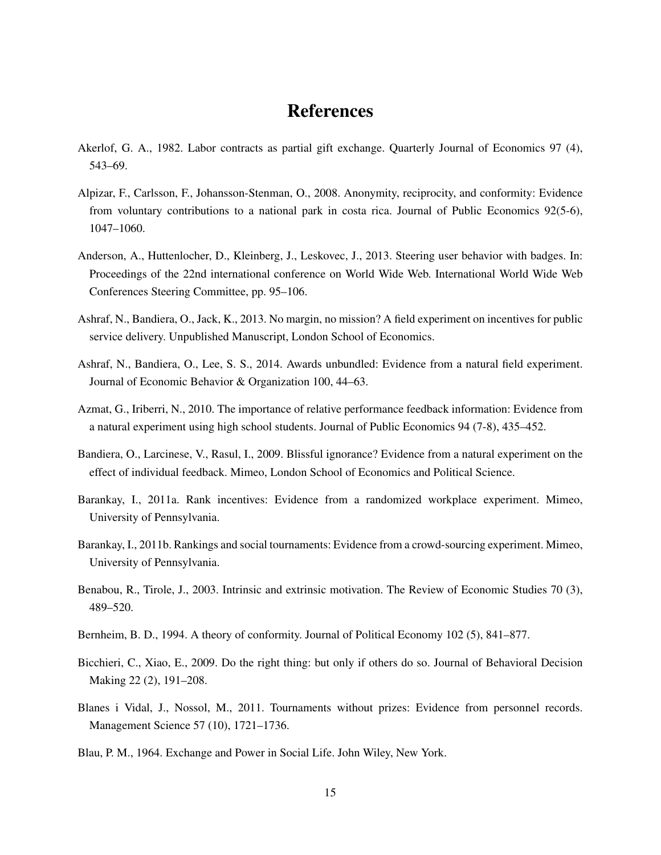### References

- Akerlof, G. A., 1982. Labor contracts as partial gift exchange. Quarterly Journal of Economics 97 (4), 543–69.
- Alpizar, F., Carlsson, F., Johansson-Stenman, O., 2008. Anonymity, reciprocity, and conformity: Evidence from voluntary contributions to a national park in costa rica. Journal of Public Economics 92(5-6), 1047–1060.
- Anderson, A., Huttenlocher, D., Kleinberg, J., Leskovec, J., 2013. Steering user behavior with badges. In: Proceedings of the 22nd international conference on World Wide Web. International World Wide Web Conferences Steering Committee, pp. 95–106.
- Ashraf, N., Bandiera, O., Jack, K., 2013. No margin, no mission? A field experiment on incentives for public service delivery. Unpublished Manuscript, London School of Economics.
- Ashraf, N., Bandiera, O., Lee, S. S., 2014. Awards unbundled: Evidence from a natural field experiment. Journal of Economic Behavior & Organization 100, 44–63.
- Azmat, G., Iriberri, N., 2010. The importance of relative performance feedback information: Evidence from a natural experiment using high school students. Journal of Public Economics 94 (7-8), 435–452.
- Bandiera, O., Larcinese, V., Rasul, I., 2009. Blissful ignorance? Evidence from a natural experiment on the effect of individual feedback. Mimeo, London School of Economics and Political Science.
- Barankay, I., 2011a. Rank incentives: Evidence from a randomized workplace experiment. Mimeo, University of Pennsylvania.
- Barankay, I., 2011b. Rankings and social tournaments: Evidence from a crowd-sourcing experiment. Mimeo, University of Pennsylvania.
- Benabou, R., Tirole, J., 2003. Intrinsic and extrinsic motivation. The Review of Economic Studies 70 (3), 489–520.
- Bernheim, B. D., 1994. A theory of conformity. Journal of Political Economy 102 (5), 841–877.
- Bicchieri, C., Xiao, E., 2009. Do the right thing: but only if others do so. Journal of Behavioral Decision Making 22 (2), 191–208.
- Blanes i Vidal, J., Nossol, M., 2011. Tournaments without prizes: Evidence from personnel records. Management Science 57 (10), 1721–1736.
- Blau, P. M., 1964. Exchange and Power in Social Life. John Wiley, New York.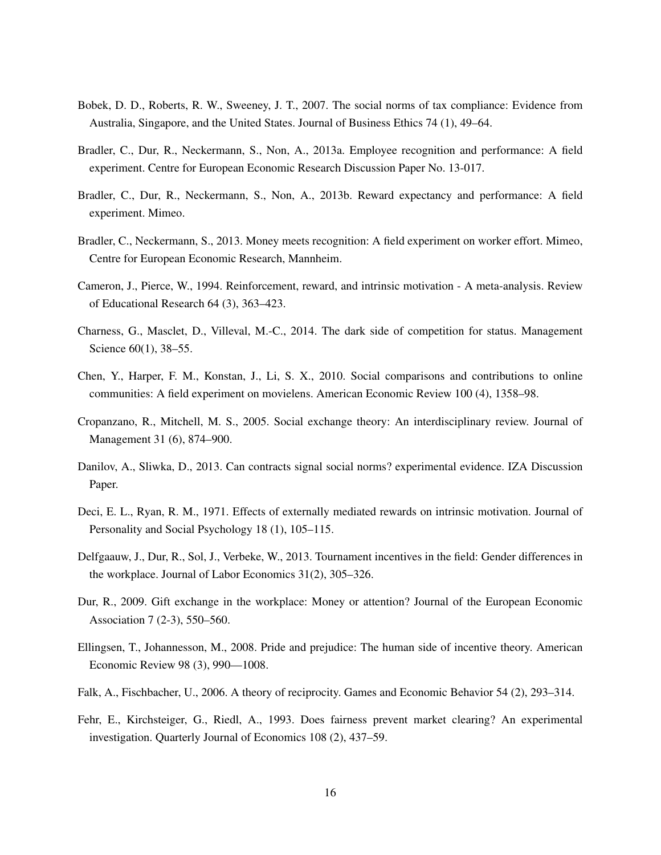- Bobek, D. D., Roberts, R. W., Sweeney, J. T., 2007. The social norms of tax compliance: Evidence from Australia, Singapore, and the United States. Journal of Business Ethics 74 (1), 49–64.
- Bradler, C., Dur, R., Neckermann, S., Non, A., 2013a. Employee recognition and performance: A field experiment. Centre for European Economic Research Discussion Paper No. 13-017.
- Bradler, C., Dur, R., Neckermann, S., Non, A., 2013b. Reward expectancy and performance: A field experiment. Mimeo.
- Bradler, C., Neckermann, S., 2013. Money meets recognition: A field experiment on worker effort. Mimeo, Centre for European Economic Research, Mannheim.
- Cameron, J., Pierce, W., 1994. Reinforcement, reward, and intrinsic motivation A meta-analysis. Review of Educational Research 64 (3), 363–423.
- Charness, G., Masclet, D., Villeval, M.-C., 2014. The dark side of competition for status. Management Science 60(1), 38–55.
- Chen, Y., Harper, F. M., Konstan, J., Li, S. X., 2010. Social comparisons and contributions to online communities: A field experiment on movielens. American Economic Review 100 (4), 1358–98.
- Cropanzano, R., Mitchell, M. S., 2005. Social exchange theory: An interdisciplinary review. Journal of Management 31 (6), 874–900.
- Danilov, A., Sliwka, D., 2013. Can contracts signal social norms? experimental evidence. IZA Discussion Paper.
- Deci, E. L., Ryan, R. M., 1971. Effects of externally mediated rewards on intrinsic motivation. Journal of Personality and Social Psychology 18 (1), 105–115.
- Delfgaauw, J., Dur, R., Sol, J., Verbeke, W., 2013. Tournament incentives in the field: Gender differences in the workplace. Journal of Labor Economics 31(2), 305–326.
- Dur, R., 2009. Gift exchange in the workplace: Money or attention? Journal of the European Economic Association 7 (2-3), 550–560.
- Ellingsen, T., Johannesson, M., 2008. Pride and prejudice: The human side of incentive theory. American Economic Review 98 (3), 990—1008.
- Falk, A., Fischbacher, U., 2006. A theory of reciprocity. Games and Economic Behavior 54 (2), 293–314.
- Fehr, E., Kirchsteiger, G., Riedl, A., 1993. Does fairness prevent market clearing? An experimental investigation. Quarterly Journal of Economics 108 (2), 437–59.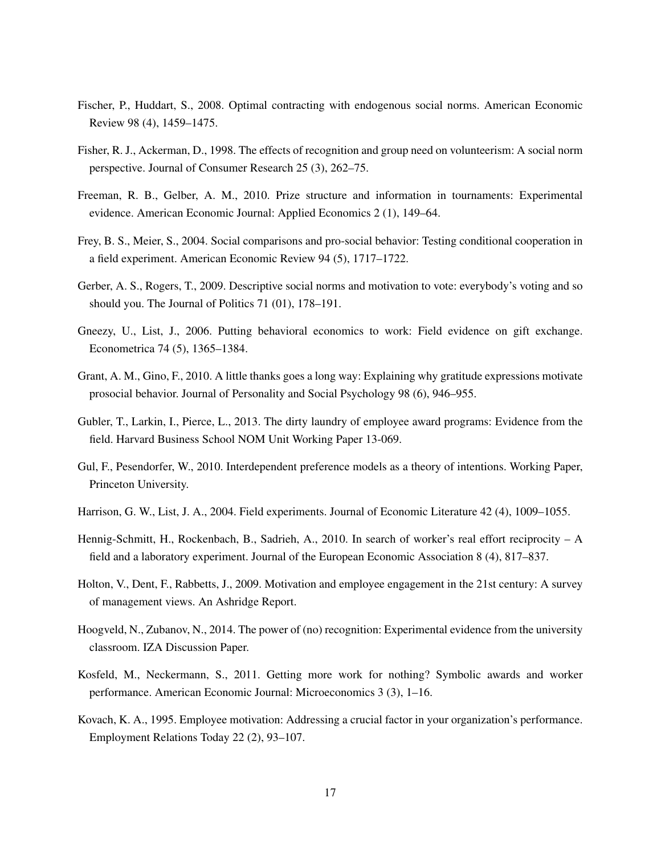- Fischer, P., Huddart, S., 2008. Optimal contracting with endogenous social norms. American Economic Review 98 (4), 1459–1475.
- Fisher, R. J., Ackerman, D., 1998. The effects of recognition and group need on volunteerism: A social norm perspective. Journal of Consumer Research 25 (3), 262–75.
- Freeman, R. B., Gelber, A. M., 2010. Prize structure and information in tournaments: Experimental evidence. American Economic Journal: Applied Economics 2 (1), 149–64.
- Frey, B. S., Meier, S., 2004. Social comparisons and pro-social behavior: Testing conditional cooperation in a field experiment. American Economic Review 94 (5), 1717–1722.
- Gerber, A. S., Rogers, T., 2009. Descriptive social norms and motivation to vote: everybody's voting and so should you. The Journal of Politics 71 (01), 178–191.
- Gneezy, U., List, J., 2006. Putting behavioral economics to work: Field evidence on gift exchange. Econometrica 74 (5), 1365–1384.
- Grant, A. M., Gino, F., 2010. A little thanks goes a long way: Explaining why gratitude expressions motivate prosocial behavior. Journal of Personality and Social Psychology 98 (6), 946–955.
- Gubler, T., Larkin, I., Pierce, L., 2013. The dirty laundry of employee award programs: Evidence from the field. Harvard Business School NOM Unit Working Paper 13-069.
- Gul, F., Pesendorfer, W., 2010. Interdependent preference models as a theory of intentions. Working Paper, Princeton University.
- Harrison, G. W., List, J. A., 2004. Field experiments. Journal of Economic Literature 42 (4), 1009–1055.
- Hennig-Schmitt, H., Rockenbach, B., Sadrieh, A., 2010. In search of worker's real effort reciprocity A field and a laboratory experiment. Journal of the European Economic Association 8 (4), 817–837.
- Holton, V., Dent, F., Rabbetts, J., 2009. Motivation and employee engagement in the 21st century: A survey of management views. An Ashridge Report.
- Hoogveld, N., Zubanov, N., 2014. The power of (no) recognition: Experimental evidence from the university classroom. IZA Discussion Paper.
- Kosfeld, M., Neckermann, S., 2011. Getting more work for nothing? Symbolic awards and worker performance. American Economic Journal: Microeconomics 3 (3), 1–16.
- Kovach, K. A., 1995. Employee motivation: Addressing a crucial factor in your organization's performance. Employment Relations Today 22 (2), 93–107.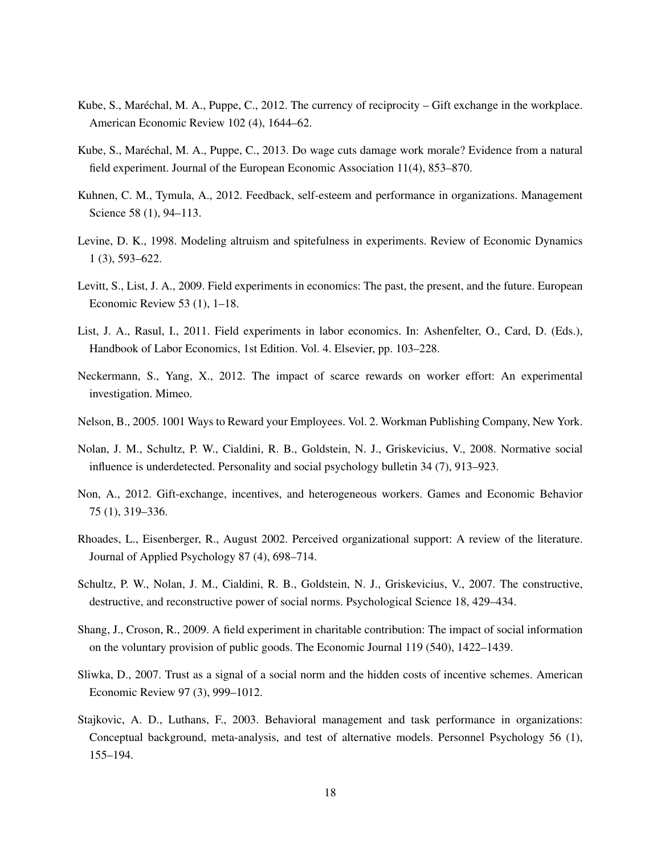- Kube, S., Maréchal, M. A., Puppe, C., 2012. The currency of reciprocity Gift exchange in the workplace. American Economic Review 102 (4), 1644–62.
- Kube, S., Maréchal, M. A., Puppe, C., 2013. Do wage cuts damage work morale? Evidence from a natural field experiment. Journal of the European Economic Association 11(4), 853–870.
- Kuhnen, C. M., Tymula, A., 2012. Feedback, self-esteem and performance in organizations. Management Science 58 (1), 94–113.
- Levine, D. K., 1998. Modeling altruism and spitefulness in experiments. Review of Economic Dynamics 1 (3), 593–622.
- Levitt, S., List, J. A., 2009. Field experiments in economics: The past, the present, and the future. European Economic Review 53 (1), 1–18.
- List, J. A., Rasul, I., 2011. Field experiments in labor economics. In: Ashenfelter, O., Card, D. (Eds.), Handbook of Labor Economics, 1st Edition. Vol. 4. Elsevier, pp. 103–228.
- Neckermann, S., Yang, X., 2012. The impact of scarce rewards on worker effort: An experimental investigation. Mimeo.
- Nelson, B., 2005. 1001 Ways to Reward your Employees. Vol. 2. Workman Publishing Company, New York.
- Nolan, J. M., Schultz, P. W., Cialdini, R. B., Goldstein, N. J., Griskevicius, V., 2008. Normative social influence is underdetected. Personality and social psychology bulletin 34 (7), 913–923.
- Non, A., 2012. Gift-exchange, incentives, and heterogeneous workers. Games and Economic Behavior 75 (1), 319–336.
- Rhoades, L., Eisenberger, R., August 2002. Perceived organizational support: A review of the literature. Journal of Applied Psychology 87 (4), 698–714.
- Schultz, P. W., Nolan, J. M., Cialdini, R. B., Goldstein, N. J., Griskevicius, V., 2007. The constructive, destructive, and reconstructive power of social norms. Psychological Science 18, 429–434.
- Shang, J., Croson, R., 2009. A field experiment in charitable contribution: The impact of social information on the voluntary provision of public goods. The Economic Journal 119 (540), 1422–1439.
- Sliwka, D., 2007. Trust as a signal of a social norm and the hidden costs of incentive schemes. American Economic Review 97 (3), 999–1012.
- Stajkovic, A. D., Luthans, F., 2003. Behavioral management and task performance in organizations: Conceptual background, meta-analysis, and test of alternative models. Personnel Psychology 56 (1), 155–194.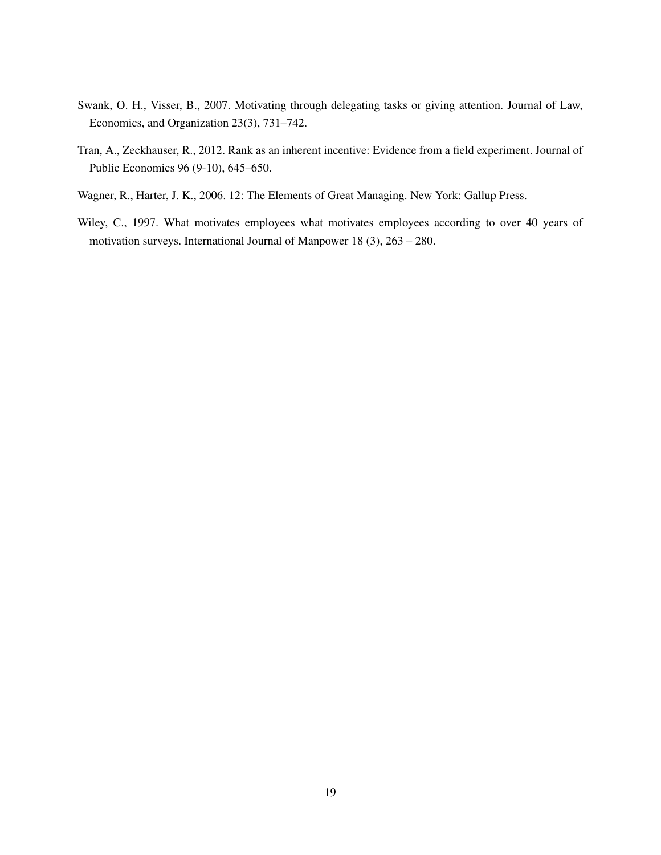- Swank, O. H., Visser, B., 2007. Motivating through delegating tasks or giving attention. Journal of Law, Economics, and Organization 23(3), 731–742.
- Tran, A., Zeckhauser, R., 2012. Rank as an inherent incentive: Evidence from a field experiment. Journal of Public Economics 96 (9-10), 645–650.
- Wagner, R., Harter, J. K., 2006. 12: The Elements of Great Managing. New York: Gallup Press.
- Wiley, C., 1997. What motivates employees what motivates employees according to over 40 years of motivation surveys. International Journal of Manpower 18 (3), 263 – 280.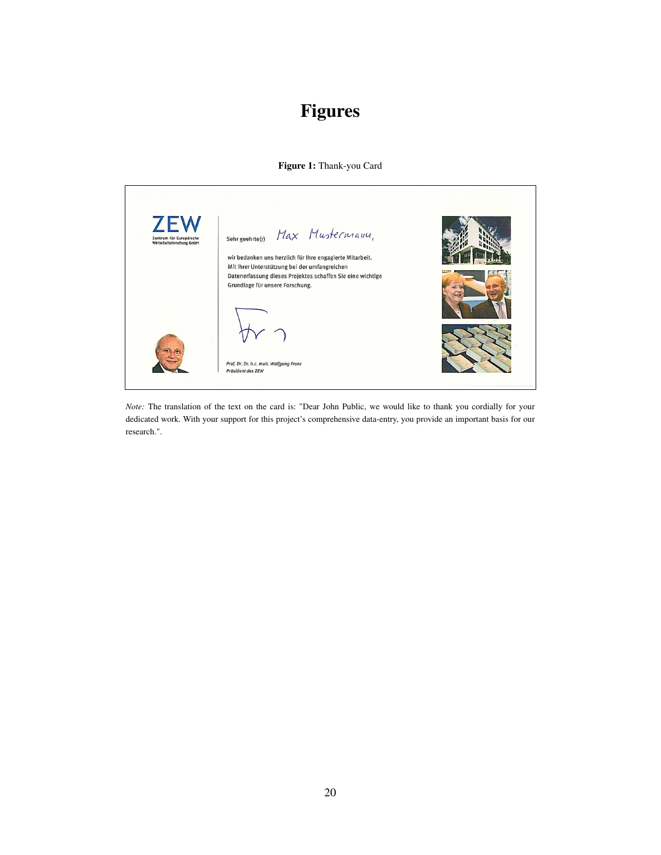## Figures

#### Figure 1: Thank-you Card



*Note:* The translation of the text on the card is: "Dear John Public, we would like to thank you cordially for your dedicated work. With your support for this project's comprehensive data-entry, you provide an important basis for our research.".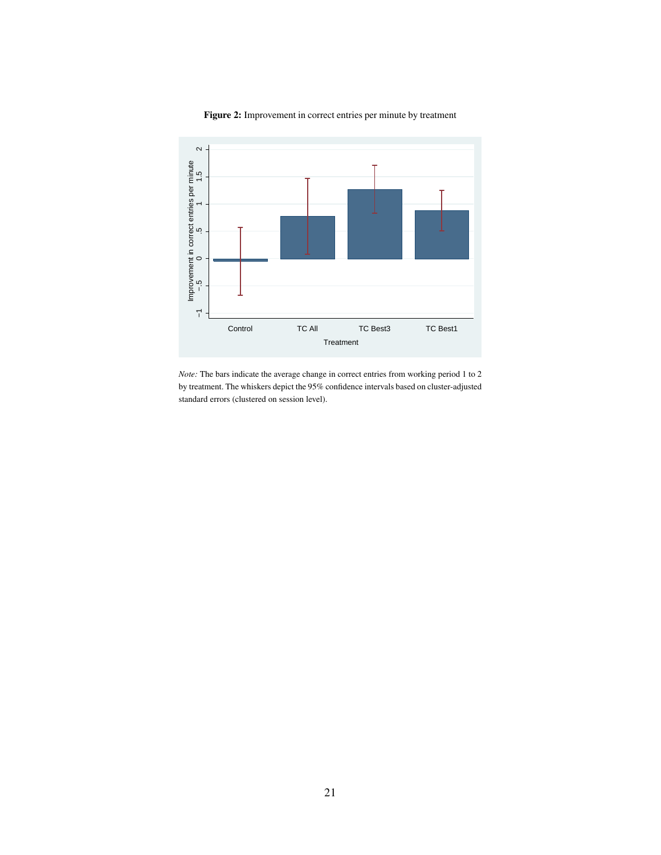

Figure 2: Improvement in correct entries per minute by treatment

*Note:* The bars indicate the average change in correct entries from working period 1 to 2 by treatment. The whiskers depict the 95% confidence intervals based on cluster-adjusted standard errors (clustered on session level).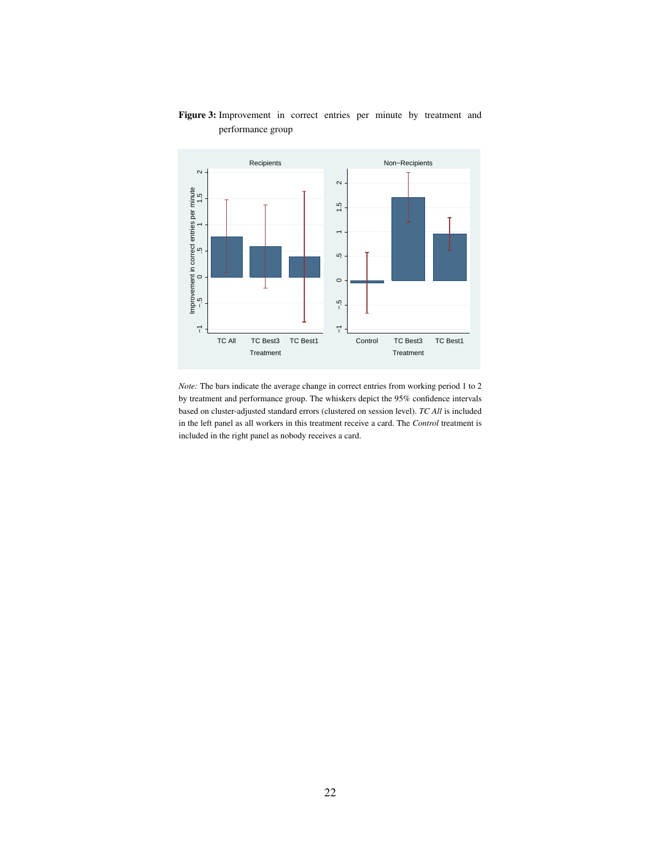

#### Figure 3: Improvement in correct entries per minute by treatment and performance group

*Note:* The bars indicate the average change in correct entries from working period 1 to 2 by treatment and performance group. The whiskers depict the 95% confidence intervals based on cluster-adjusted standard errors (clustered on session level). *TC All* is included in the left panel as all workers in this treatment receive a card. The *Control* treatment is included in the right panel as nobody receives a card.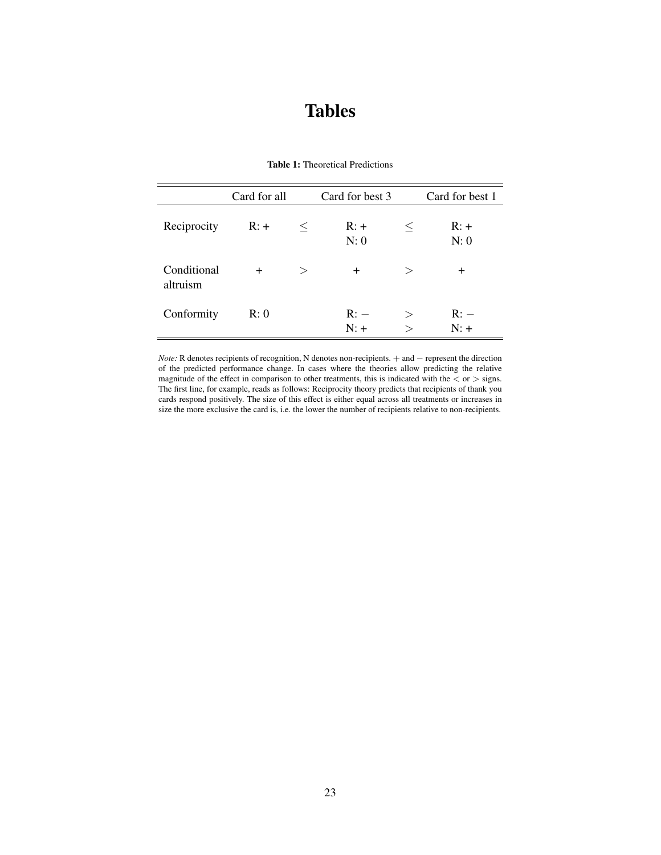### Tables

|                         | Card for all |          | Card for best 3 |          | Card for best 1 |  |
|-------------------------|--------------|----------|-----------------|----------|-----------------|--|
| Reciprocity             | $R: +$       | $\,<\,$  | $R: +$<br>N: 0  | $\,<\,$  | $R: +$<br>N: 0  |  |
| Conditional<br>altruism | $\pm$        | $\rm{>}$ | $\pm$           | $\rm{>}$ | $\pm$           |  |
| Conformity              | R: 0         |          | R:<br>$N: +$    | $\rm{>}$ | R:<br>$N: +$    |  |

#### Table 1: Theoretical Predictions

*Note:* R denotes recipients of recognition, N denotes non-recipients. + and − represent the direction of the predicted performance change. In cases where the theories allow predicting the relative magnitude of the effect in comparison to other treatments, this is indicated with the  $\langle$  or  $\rangle$  signs. The first line, for example, reads as follows: Reciprocity theory predicts that recipients of thank you cards respond positively. The size of this effect is either equal across all treatments or increases in size the more exclusive the card is, i.e. the lower the number of recipients relative to non-recipients.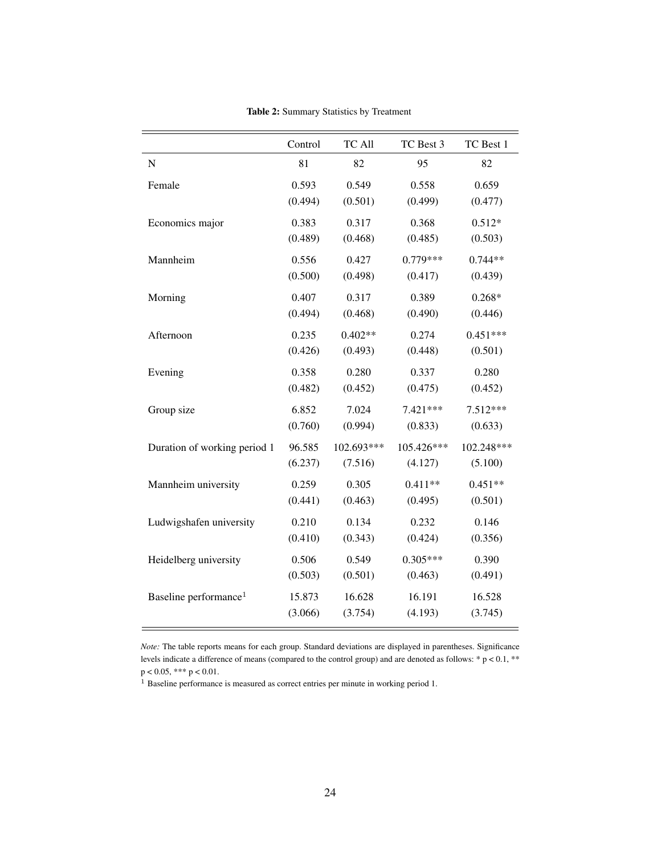|                                   | Control | TC All     | TC Best 3  | TC Best 1  |
|-----------------------------------|---------|------------|------------|------------|
| $\mathbf N$                       | 81      | 82         | 95         | 82         |
| Female                            | 0.593   | 0.549      | 0.558      | 0.659      |
|                                   | (0.494) | (0.501)    | (0.499)    | (0.477)    |
| Economics major                   | 0.383   | 0.317      | 0.368      | $0.512*$   |
|                                   | (0.489) | (0.468)    | (0.485)    | (0.503)    |
| Mannheim                          | 0.556   | 0.427      | $0.779***$ | $0.744**$  |
|                                   | (0.500) | (0.498)    | (0.417)    | (0.439)    |
| Morning                           | 0.407   | 0.317      | 0.389      | $0.268*$   |
|                                   | (0.494) | (0.468)    | (0.490)    | (0.446)    |
| Afternoon                         | 0.235   | $0.402**$  | 0.274      | $0.451***$ |
|                                   | (0.426) | (0.493)    | (0.448)    | (0.501)    |
| Evening                           | 0.358   | 0.280      | 0.337      | 0.280      |
|                                   | (0.482) | (0.452)    | (0.475)    | (0.452)    |
| Group size                        | 6.852   | 7.024      | 7.421***   | 7.512***   |
|                                   | (0.760) | (0.994)    | (0.833)    | (0.633)    |
| Duration of working period 1      | 96.585  | 102.693*** | 105.426*** | 102.248*** |
|                                   | (6.237) | (7.516)    | (4.127)    | (5.100)    |
| Mannheim university               | 0.259   | 0.305      | $0.411**$  | $0.451**$  |
|                                   | (0.441) | (0.463)    | (0.495)    | (0.501)    |
| Ludwigshafen university           | 0.210   | 0.134      | 0.232      | 0.146      |
|                                   | (0.410) | (0.343)    | (0.424)    | (0.356)    |
| Heidelberg university             | 0.506   | 0.549      | $0.305***$ | 0.390      |
|                                   | (0.503) | (0.501)    | (0.463)    | (0.491)    |
| Baseline performance <sup>1</sup> | 15.873  | 16.628     | 16.191     | 16.528     |
|                                   | (3.066) | (3.754)    | (4.193)    | (3.745)    |

Table 2: Summary Statistics by Treatment

*Note:* The table reports means for each group. Standard deviations are displayed in parentheses. Significance levels indicate a difference of means (compared to the control group) and are denoted as follows: \* p < 0.1, \*\*  $p < 0.05$ , \*\*\*  $p < 0.01$ .

<sup>1</sup> Baseline performance is measured as correct entries per minute in working period 1.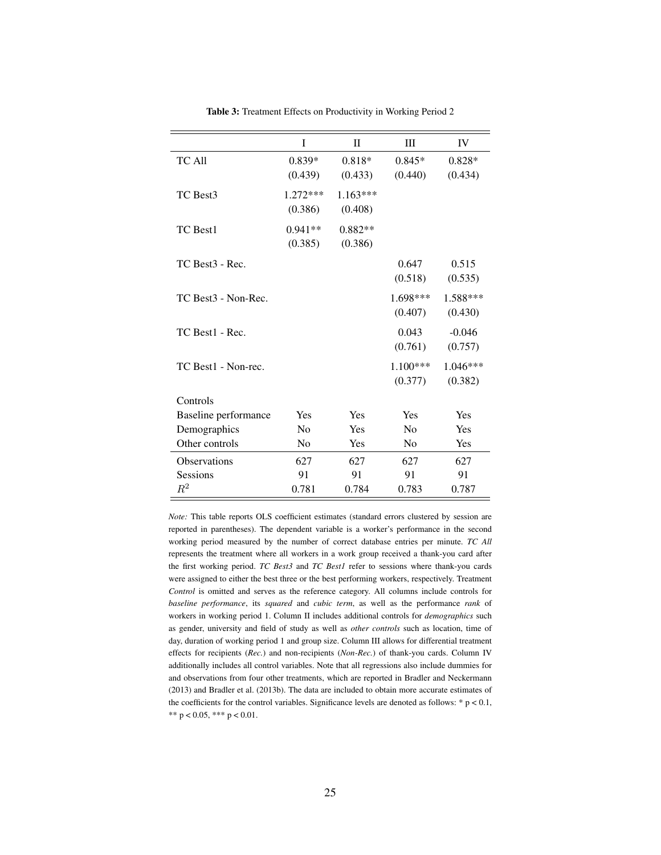|                                 | I                     | $_{\rm II}$           | Ш                     | IV                  |
|---------------------------------|-----------------------|-----------------------|-----------------------|---------------------|
| TC All                          | $0.839*$<br>(0.439)   | $0.818*$<br>(0.433)   | $0.845*$<br>(0.440)   | $0.828*$<br>(0.434) |
| TC Best3                        | $1.272***$<br>(0.386) | $1.163***$<br>(0.408) |                       |                     |
| TC Best1                        | $0.941**$<br>(0.385)  | $0.882**$<br>(0.386)  |                       |                     |
| TC Best <sub>3</sub> - Rec.     |                       |                       | 0.647<br>(0.518)      | 0.515<br>(0.535)    |
| TC Best <sub>3</sub> - Non-Rec. |                       |                       | $1.698***$<br>(0.407) | 1.588***<br>(0.430) |
| TC Best1 - Rec.                 |                       |                       | 0.043<br>(0.761)      | $-0.046$<br>(0.757) |
| TC Best1 - Non-rec.             |                       |                       | $1.100***$<br>(0.377) | 1.046***<br>(0.382) |
| Controls                        |                       |                       |                       |                     |
| Baseline performance            | Yes                   | Yes                   | Yes                   | Yes                 |
| Demographics                    | No                    | Yes                   | No                    | Yes                 |
| Other controls                  | N <sub>0</sub>        | Yes                   | N <sub>0</sub>        | Yes                 |
| Observations                    | 627                   | 627                   | 627                   | 627                 |
| Sessions                        | 91                    | 91                    | 91                    | 91                  |
| $\mathbb{R}^2$                  | 0.781                 | 0.784                 | 0.783                 | 0.787               |

Table 3: Treatment Effects on Productivity in Working Period 2

*Note:* This table reports OLS coefficient estimates (standard errors clustered by session are reported in parentheses). The dependent variable is a worker's performance in the second working period measured by the number of correct database entries per minute. *TC All* represents the treatment where all workers in a work group received a thank-you card after the first working period. *TC Best3* and *TC Best1* refer to sessions where thank-you cards were assigned to either the best three or the best performing workers, respectively. Treatment *Control* is omitted and serves as the reference category. All columns include controls for *baseline performance*, its *squared* and *cubic term*, as well as the performance *rank* of workers in working period 1. Column II includes additional controls for *demographics* such as gender, university and field of study as well as *other controls* such as location, time of day, duration of working period 1 and group size. Column III allows for differential treatment effects for recipients (*Rec.*) and non-recipients (*Non-Rec.*) of thank-you cards. Column IV additionally includes all control variables. Note that all regressions also include dummies for and observations from four other treatments, which are reported in Bradler and Neckermann (2013) and Bradler et al. (2013b). The data are included to obtain more accurate estimates of the coefficients for the control variables. Significance levels are denoted as follows:  $* p < 0.1$ , \*\*  $p < 0.05$ , \*\*\*  $p < 0.01$ .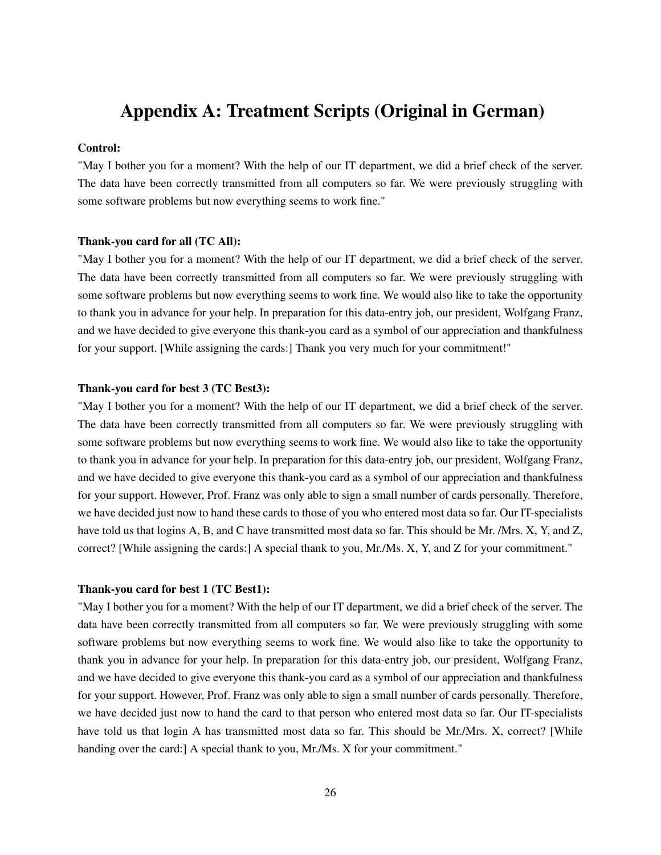### Appendix A: Treatment Scripts (Original in German)

#### Control:

"May I bother you for a moment? With the help of our IT department, we did a brief check of the server. The data have been correctly transmitted from all computers so far. We were previously struggling with some software problems but now everything seems to work fine."

#### Thank-you card for all (TC All):

"May I bother you for a moment? With the help of our IT department, we did a brief check of the server. The data have been correctly transmitted from all computers so far. We were previously struggling with some software problems but now everything seems to work fine. We would also like to take the opportunity to thank you in advance for your help. In preparation for this data-entry job, our president, Wolfgang Franz, and we have decided to give everyone this thank-you card as a symbol of our appreciation and thankfulness for your support. [While assigning the cards:] Thank you very much for your commitment!"

#### Thank-you card for best 3 (TC Best3):

"May I bother you for a moment? With the help of our IT department, we did a brief check of the server. The data have been correctly transmitted from all computers so far. We were previously struggling with some software problems but now everything seems to work fine. We would also like to take the opportunity to thank you in advance for your help. In preparation for this data-entry job, our president, Wolfgang Franz, and we have decided to give everyone this thank-you card as a symbol of our appreciation and thankfulness for your support. However, Prof. Franz was only able to sign a small number of cards personally. Therefore, we have decided just now to hand these cards to those of you who entered most data so far. Our IT-specialists have told us that logins A, B, and C have transmitted most data so far. This should be Mr. /Mrs. X, Y, and Z, correct? [While assigning the cards:] A special thank to you, Mr./Ms. X, Y, and Z for your commitment."

#### Thank-you card for best 1 (TC Best1):

"May I bother you for a moment? With the help of our IT department, we did a brief check of the server. The data have been correctly transmitted from all computers so far. We were previously struggling with some software problems but now everything seems to work fine. We would also like to take the opportunity to thank you in advance for your help. In preparation for this data-entry job, our president, Wolfgang Franz, and we have decided to give everyone this thank-you card as a symbol of our appreciation and thankfulness for your support. However, Prof. Franz was only able to sign a small number of cards personally. Therefore, we have decided just now to hand the card to that person who entered most data so far. Our IT-specialists have told us that login A has transmitted most data so far. This should be Mr./Mrs. X, correct? [While handing over the card: A special thank to you, Mr./Ms. X for your commitment."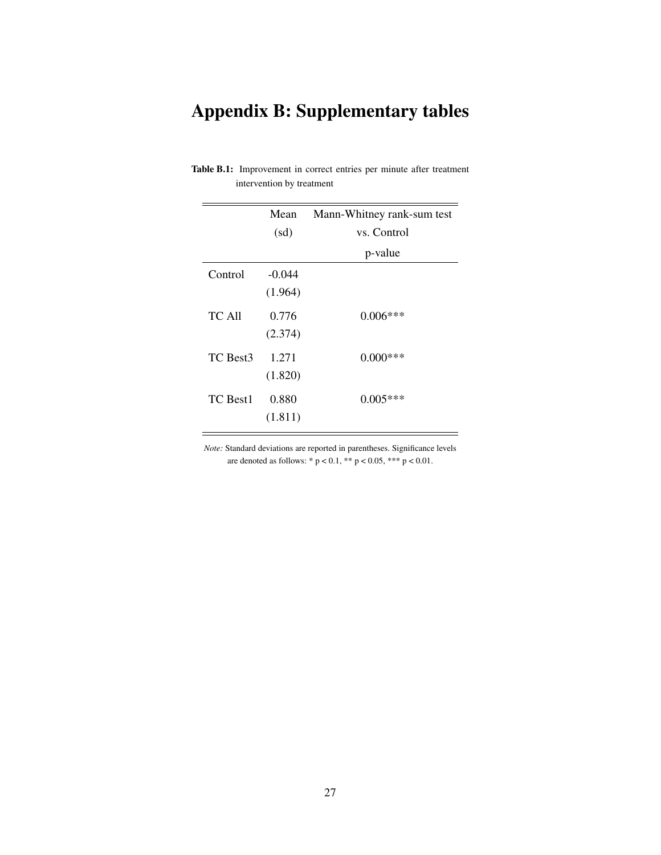# Appendix B: Supplementary tables

|          | Mean<br>(sd)        | Mann-Whitney rank-sum test<br>vs. Control |
|----------|---------------------|-------------------------------------------|
|          |                     | p-value                                   |
| Control  | $-0.044$<br>(1.964) |                                           |
| TC All   | 0.776<br>(2.374)    | $0.006***$                                |
| TC Best3 | 1.271<br>(1.820)    | $0.000***$                                |
| TC Best1 | 0.880<br>(1.811)    | $0.005***$                                |

Table B.1: Improvement in correct entries per minute after treatment intervention by treatment

*Note:* Standard deviations are reported in parentheses. Significance levels are denoted as follows: \* p < 0.1, \*\* p < 0.05, \*\*\* p < 0.01.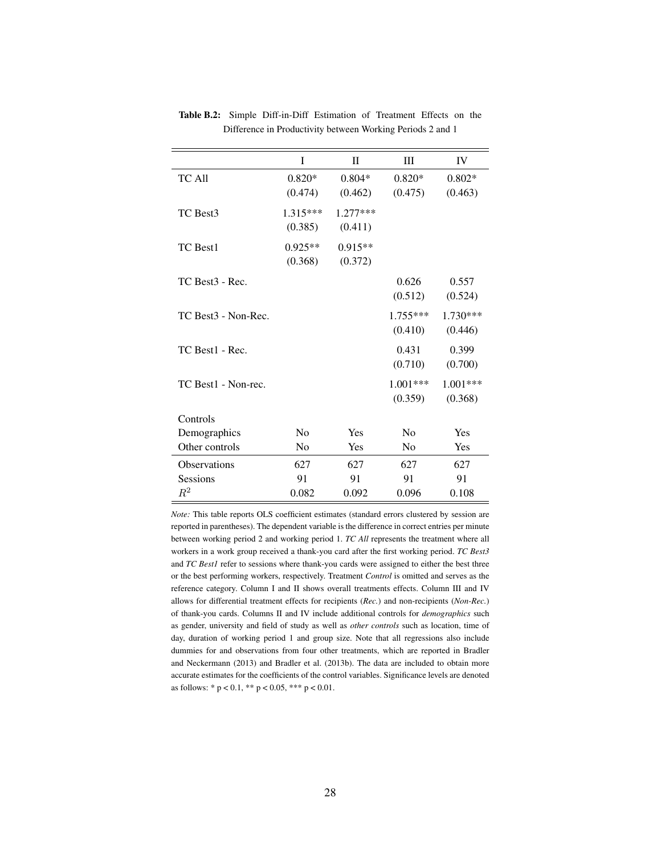|                             | I              | $\mathbf{I}$ | Ш              | IV         |
|-----------------------------|----------------|--------------|----------------|------------|
| TC All                      | $0.820*$       | $0.804*$     | $0.820*$       | $0.802*$   |
|                             | (0.474)        | (0.462)      | (0.475)        | (0.463)    |
| TC Best3                    | $1.315***$     | 1.277***     |                |            |
|                             | (0.385)        | (0.411)      |                |            |
| TC Best1                    | $0.925**$      | $0.915**$    |                |            |
|                             | (0.368)        | (0.372)      |                |            |
| TC Best <sub>3</sub> - Rec. |                |              | 0.626          | 0.557      |
|                             |                |              | (0.512)        | (0.524)    |
| TC Best3 - Non-Rec.         |                |              | $1.755***$     | $1.730***$ |
|                             |                |              | (0.410)        | (0.446)    |
| TC Best1 - Rec.             |                |              | 0.431          | 0.399      |
|                             |                |              | (0.710)        | (0.700)    |
| TC Best1 - Non-rec.         |                |              | $1.001***$     | 1.001***   |
|                             |                |              | (0.359)        | (0.368)    |
| Controls                    |                |              |                |            |
| Demographics                | No             | Yes          | No             | Yes        |
| Other controls              | N <sub>0</sub> | Yes          | N <sub>0</sub> | Yes        |
| <b>Observations</b>         | 627            | 627          | 627            | 627        |
| <b>Sessions</b>             | 91             | 91           | 91             | 91         |
| $\,R^2$                     | 0.082          | 0.092        | 0.096          | 0.108      |

Table B.2: Simple Diff-in-Diff Estimation of Treatment Effects on the Difference in Productivity between Working Periods 2 and 1

*Note:* This table reports OLS coefficient estimates (standard errors clustered by session are reported in parentheses). The dependent variable is the difference in correct entries per minute between working period 2 and working period 1. *TC All* represents the treatment where all workers in a work group received a thank-you card after the first working period. *TC Best3* and *TC Best1* refer to sessions where thank-you cards were assigned to either the best three or the best performing workers, respectively. Treatment *Control* is omitted and serves as the reference category. Column I and II shows overall treatments effects. Column III and IV allows for differential treatment effects for recipients (*Rec.*) and non-recipients (*Non-Rec.*) of thank-you cards. Columns II and IV include additional controls for *demographics* such as gender, university and field of study as well as *other controls* such as location, time of day, duration of working period 1 and group size. Note that all regressions also include dummies for and observations from four other treatments, which are reported in Bradler and Neckermann (2013) and Bradler et al. (2013b). The data are included to obtain more accurate estimates for the coefficients of the control variables. Significance levels are denoted as follows: \* p < 0.1, \*\* p < 0.05, \*\*\* p < 0.01.